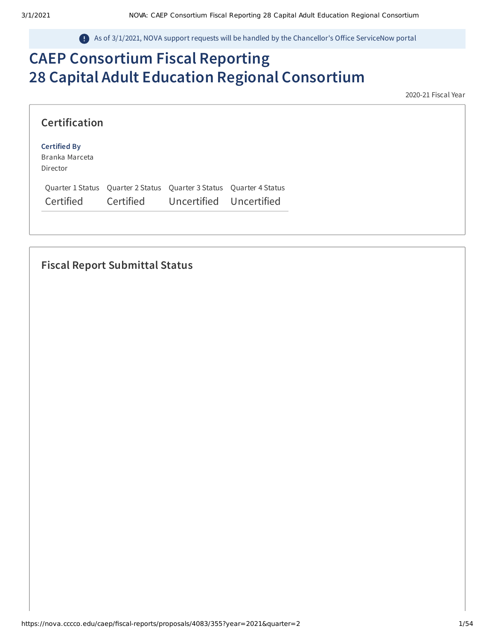As of 3/1/2021, NOVA support requests will be handled by the Chancellor's Office ServiceNow portal

# **CAEP Consortium Fiscal Reporting 28 Capital Adult Education Regional Consortium**

2020-21 Fiscal Year

| <b>Certification</b>                              |                                                                     |  |
|---------------------------------------------------|---------------------------------------------------------------------|--|
| <b>Certified By</b><br>Branka Marceta<br>Director |                                                                     |  |
|                                                   | Quarter 1 Status Quarter 2 Status Quarter 3 Status Quarter 4 Status |  |
| Certified                                         | Certified Uncertified Uncertified                                   |  |

## **Fiscal Report Submittal Status**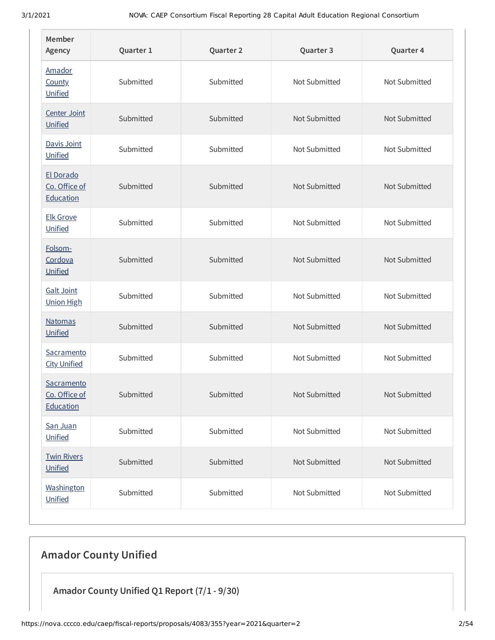| Member<br>Agency                         | Quarter 1 | Quarter 2 | Quarter 3     | Quarter 4     |
|------------------------------------------|-----------|-----------|---------------|---------------|
| Amador<br>County<br>Unified              | Submitted | Submitted | Not Submitted | Not Submitted |
| Center Joint<br>Unified                  | Submitted | Submitted | Not Submitted | Not Submitted |
| Davis Joint<br>Unified                   | Submitted | Submitted | Not Submitted | Not Submitted |
| El Dorado<br>Co. Office of<br>Education  | Submitted | Submitted | Not Submitted | Not Submitted |
| <b>Elk Grove</b><br><b>Unified</b>       | Submitted | Submitted | Not Submitted | Not Submitted |
| Folsom-<br>Cordova<br>Unified            | Submitted | Submitted | Not Submitted | Not Submitted |
| <b>Galt Joint</b><br><b>Union High</b>   | Submitted | Submitted | Not Submitted | Not Submitted |
| <b>Natomas</b><br>Unified                | Submitted | Submitted | Not Submitted | Not Submitted |
| Sacramento<br><b>City Unified</b>        | Submitted | Submitted | Not Submitted | Not Submitted |
| Sacramento<br>Co. Office of<br>Education | Submitted | Submitted | Not Submitted | Not Submitted |
| San Juan<br>Unified                      | Submitted | Submitted | Not Submitted | Not Submitted |
| <b>Twin Rivers</b><br>Unified            | Submitted | Submitted | Not Submitted | Not Submitted |
| Washington<br>Unified                    | Submitted | Submitted | Not Submitted | Not Submitted |

# **Amador County Unified**

**Amador County Unified Q1 Report (7/1 - 9/30)**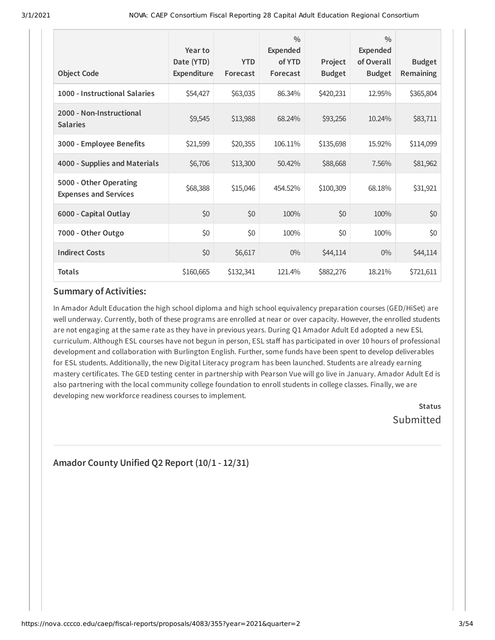| <b>Object Code</b>                                     | Year to<br>Date (YTD)<br><b>Expenditure</b> | <b>YTD</b><br>Forecast | $\frac{0}{0}$<br><b>Expended</b><br>of YTD<br>Forecast | Project<br><b>Budget</b> | $\frac{0}{0}$<br>Expended<br>of Overall<br><b>Budget</b> | <b>Budget</b><br><b>Remaining</b> |
|--------------------------------------------------------|---------------------------------------------|------------------------|--------------------------------------------------------|--------------------------|----------------------------------------------------------|-----------------------------------|
| 1000 - Instructional Salaries                          | \$54,427                                    | \$63,035               | 86.34%                                                 | \$420,231                | 12.95%                                                   | \$365,804                         |
| 2000 - Non-Instructional<br><b>Salaries</b>            | \$9,545                                     | \$13,988               | 68.24%                                                 | \$93,256                 | 10.24%                                                   | \$83,711                          |
| 3000 - Employee Benefits                               | \$21,599                                    | \$20,355               | 106.11%                                                | \$135,698                | 15.92%                                                   | \$114,099                         |
| 4000 - Supplies and Materials                          | \$6,706                                     | \$13,300               | 50.42%                                                 | \$88,668                 | 7.56%                                                    | \$81,962                          |
| 5000 - Other Operating<br><b>Expenses and Services</b> | \$68,388                                    | \$15,046               | 454.52%                                                | \$100,309                | 68.18%                                                   | \$31,921                          |
| 6000 - Capital Outlay                                  | \$0                                         | \$0                    | 100%                                                   | \$0                      | 100%                                                     | \$0                               |
| 7000 - Other Outgo                                     | \$0                                         | \$0                    | 100%                                                   | \$0                      | 100%                                                     | \$0                               |
| <b>Indirect Costs</b>                                  | \$0                                         | \$6,617                | $0\%$                                                  | \$44,114                 | $0\%$                                                    | \$44,114                          |
| <b>Totals</b>                                          | \$160,665                                   | \$132,341              | 121.4%                                                 | \$882,276                | 18.21%                                                   | \$721,611                         |

In Amador Adult Education the high school diploma and high school equivalency preparation courses (GED/HiSet) are well underway. Currently, both of these programs are enrolled at near or over capacity. However, the enrolled students are not engaging at the same rate as they have in previous years. During Q1 Amador Adult Ed adopted a new ESL curriculum. Although ESL courses have not begun in person, ESL staff has participated in over 10 hours of professional development and collaboration with Burlington English. Further, some funds have been spent to develop deliverables for ESL students. Additionally, the new Digital Literacy program has been launched. Students are already earning mastery certificates. The GED testing center in partnership with Pearson Vue will go live in January. Amador Adult Ed is also partnering with the local community college foundation to enroll students in college classes. Finally, we are developing new workforce readiness courses to implement.

**Status** Submitted

## **Amador County Unified Q2 Report (10/1 - 12/31)**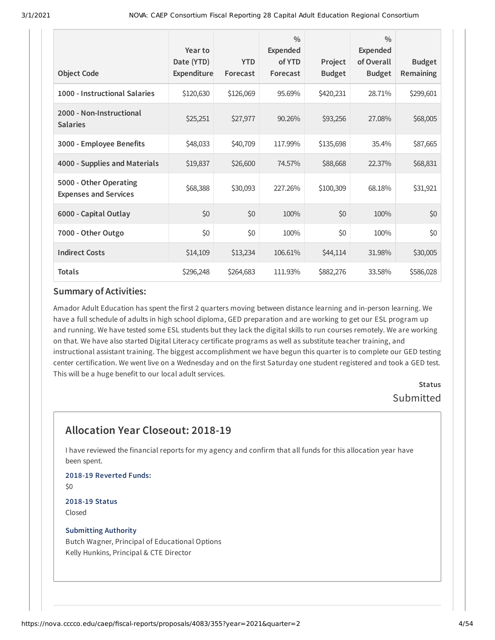| <b>Object Code</b>                                     | Year to<br>Date (YTD)<br>Expenditure | <b>YTD</b><br>Forecast | $\frac{0}{0}$<br><b>Expended</b><br>of YTD<br>Forecast | Project<br><b>Budget</b> | $\frac{0}{0}$<br>Expended<br>of Overall<br><b>Budget</b> | <b>Budget</b><br>Remaining |
|--------------------------------------------------------|--------------------------------------|------------------------|--------------------------------------------------------|--------------------------|----------------------------------------------------------|----------------------------|
| 1000 - Instructional Salaries                          | \$120,630                            | \$126,069              | 95.69%                                                 | \$420,231                | 28.71%                                                   | \$299,601                  |
| 2000 - Non-Instructional<br><b>Salaries</b>            | \$25,251                             | \$27,977               | 90.26%                                                 | \$93,256                 | 27.08%                                                   | \$68,005                   |
| 3000 - Employee Benefits                               | \$48,033                             | \$40,709               | 117.99%                                                | \$135,698                | 35.4%                                                    | \$87,665                   |
| 4000 - Supplies and Materials                          | \$19,837                             | \$26,600               | 74.57%                                                 | \$88,668                 | 22.37%                                                   | \$68,831                   |
| 5000 - Other Operating<br><b>Expenses and Services</b> | \$68,388                             | \$30,093               | 227.26%                                                | \$100,309                | 68.18%                                                   | \$31,921                   |
| 6000 - Capital Outlay                                  | \$0                                  | \$0                    | 100%                                                   | \$0                      | 100%                                                     | \$0                        |
| 7000 - Other Outgo                                     | \$0                                  | \$0                    | 100%                                                   | \$0                      | 100%                                                     | \$0                        |
| <b>Indirect Costs</b>                                  | \$14,109                             | \$13,234               | 106.61%                                                | \$44,114                 | 31.98%                                                   | \$30,005                   |
| <b>Totals</b>                                          | \$296,248                            | \$264,683              | 111.93%                                                | \$882,276                | 33.58%                                                   | \$586,028                  |

Amador Adult Education has spent the first 2 quarters moving between distance learning and in-person learning. We have a full schedule of adults in high school diploma, GED preparation and are working to get our ESL program up and running. We have tested some ESL students but they lack the digital skills to run courses remotely. We are working on that. We have also started Digital Literacy certificate programs as well as substitute teacher training, and instructional assistant training. The biggest accomplishment we have begun this quarter is to complete our GED testing center certification. We went live on a Wednesday and on the first Saturday one student registered and took a GED test. This will be a huge benefit to our local adult services.

## **Status** Submitted

## **Allocation Year Closeout: 2018-19**

I have reviewed the financial reports for my agency and confirm that all funds for this allocation year have been spent.

**2018-19 Reverted Funds:**  $$0$ 

**2018-19 Status** Closed

#### **Submitting Authority**

Butch Wagner, Principal of Educational Options Kelly Hunkins, Principal & CTE Director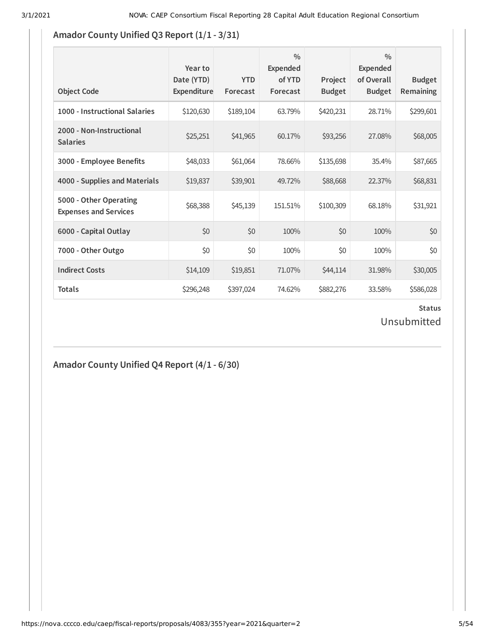## **Amador County Unified Q3 Report**  $(1/1$  **- 3/31)**

| <b>Object Code</b>                                     | Year to<br>Date (YTD)<br><b>Expenditure</b> | <b>YTD</b><br>Forecast | $\frac{0}{0}$<br><b>Expended</b><br>of YTD<br>Forecast | Project<br><b>Budget</b> | $\frac{0}{0}$<br><b>Expended</b><br>of Overall<br><b>Budget</b> | <b>Budget</b><br><b>Remaining</b> |
|--------------------------------------------------------|---------------------------------------------|------------------------|--------------------------------------------------------|--------------------------|-----------------------------------------------------------------|-----------------------------------|
| 1000 - Instructional Salaries                          | \$120,630                                   | \$189,104              | 63.79%                                                 | \$420,231                | 28.71%                                                          | \$299,601                         |
| 2000 - Non-Instructional<br><b>Salaries</b>            | \$25,251                                    | \$41,965               | 60.17%                                                 | \$93,256                 | 27.08%                                                          | \$68,005                          |
| 3000 - Employee Benefits                               | \$48,033                                    | \$61,064               | 78.66%                                                 | \$135,698                | 35.4%                                                           | \$87,665                          |
| 4000 - Supplies and Materials                          | \$19,837                                    | \$39,901               | 49.72%                                                 | \$88,668                 | 22.37%                                                          | \$68,831                          |
| 5000 - Other Operating<br><b>Expenses and Services</b> | \$68,388                                    | \$45,139               | 151.51%                                                | \$100,309                | 68.18%                                                          | \$31,921                          |
| 6000 - Capital Outlay                                  | \$0                                         | \$0                    | 100%                                                   | \$0                      | 100%                                                            | \$0                               |
| 7000 - Other Outgo                                     | \$0                                         | \$0                    | 100%                                                   | \$0                      | 100%                                                            | \$0                               |
| <b>Indirect Costs</b>                                  | \$14,109                                    | \$19,851               | 71.07%                                                 | \$44,114                 | 31.98%                                                          | \$30,005                          |
| <b>Totals</b>                                          | \$296,248                                   | \$397,024              | 74.62%                                                 | \$882,276                | 33.58%                                                          | \$586,028                         |

### **Status** Unsubmitted

## **Amador County Unified Q4 Report (4/1 - 6/30)**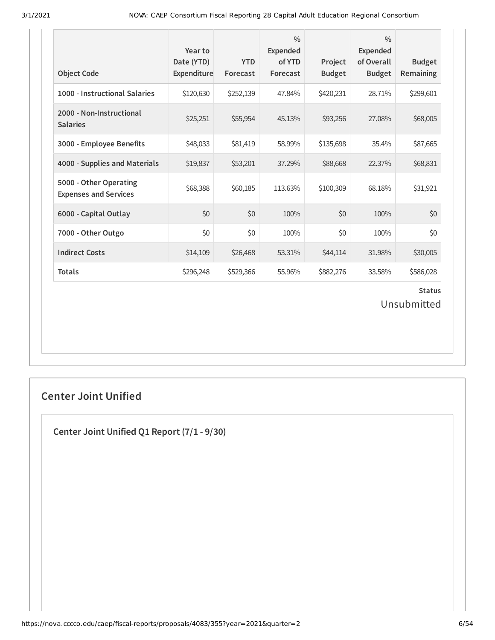| <b>Object Code</b>                                     | Year to<br>Date (YTD)<br>Expenditure | <b>YTD</b><br>Forecast | $\frac{0}{0}$<br><b>Expended</b><br>of YTD<br>Forecast | Project<br><b>Budget</b> | $\frac{0}{0}$<br><b>Expended</b><br>of Overall<br><b>Budget</b> | <b>Budget</b><br>Remaining   |
|--------------------------------------------------------|--------------------------------------|------------------------|--------------------------------------------------------|--------------------------|-----------------------------------------------------------------|------------------------------|
| 1000 - Instructional Salaries                          | \$120,630                            | \$252,139              | 47.84%                                                 | \$420,231                | 28.71%                                                          | \$299,601                    |
| 2000 - Non-Instructional<br><b>Salaries</b>            | \$25,251                             | \$55,954               | 45.13%                                                 | \$93,256                 | 27.08%                                                          | \$68,005                     |
| 3000 - Employee Benefits                               | \$48,033                             | \$81,419               | 58.99%                                                 | \$135,698                | 35.4%                                                           | \$87,665                     |
| 4000 - Supplies and Materials                          | \$19,837                             | \$53,201               | 37.29%                                                 | \$88,668                 | 22.37%                                                          | \$68,831                     |
| 5000 - Other Operating<br><b>Expenses and Services</b> | \$68,388                             | \$60,185               | 113.63%                                                | \$100,309                | 68.18%                                                          | \$31,921                     |
| 6000 - Capital Outlay                                  | \$0                                  | \$0                    | 100%                                                   | \$0                      | 100%                                                            | \$0                          |
| 7000 - Other Outgo                                     | \$0                                  | \$0                    | 100%                                                   | \$0                      | 100%                                                            | \$0                          |
| <b>Indirect Costs</b>                                  | \$14,109                             | \$26,468               | 53.31%                                                 | \$44,114                 | 31.98%                                                          | \$30,005                     |
| <b>Totals</b>                                          | \$296,248                            | \$529,366              | 55.96%                                                 | \$882,276                | 33.58%                                                          | \$586,028                    |
|                                                        |                                      |                        |                                                        |                          |                                                                 | <b>Status</b><br>Unsubmitted |

## **Center Joint Unified**

**Center Joint Unified Q1 Report (7/1 - 9/30)**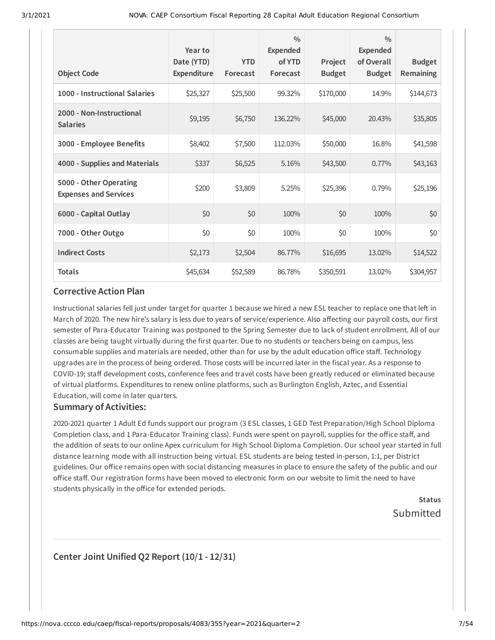| <b>Object Code</b>                                     | Year to<br>Date (YTD)<br>Expenditure | <b>YTD</b><br>Forecast | $\frac{0}{0}$<br><b>Expended</b><br>of YTD<br>Forecast | Project<br><b>Budget</b> | $\frac{0}{0}$<br><b>Expended</b><br>of Overall<br><b>Budget</b> | <b>Budget</b><br><b>Remaining</b> |
|--------------------------------------------------------|--------------------------------------|------------------------|--------------------------------------------------------|--------------------------|-----------------------------------------------------------------|-----------------------------------|
| 1000 - Instructional Salaries                          | \$25,327                             | \$25,500               | 99.32%                                                 | \$170,000                | 14.9%                                                           | \$144,673                         |
| 2000 - Non-Instructional<br><b>Salaries</b>            | \$9,195                              | \$6,750                | 136.22%                                                | \$45,000                 | 20.43%                                                          | \$35,805                          |
| 3000 - Employee Benefits                               | \$8,402                              | \$7,500                | 112.03%                                                | \$50,000                 | 16.8%                                                           | \$41,598                          |
| 4000 - Supplies and Materials                          | \$337                                | \$6,525                | 5.16%                                                  | \$43,500                 | 0.77%                                                           | \$43,163                          |
| 5000 - Other Operating<br><b>Expenses and Services</b> | \$200                                | \$3,809                | 5.25%                                                  | \$25,396                 | 0.79%                                                           | \$25,196                          |
| 6000 - Capital Outlay                                  | \$0                                  | \$0                    | 100%                                                   | \$0                      | 100%                                                            | \$0                               |
| 7000 - Other Outgo                                     | \$0                                  | \$0                    | 100%                                                   | \$0                      | 100%                                                            | \$0                               |
| <b>Indirect Costs</b>                                  | \$2,173                              | \$2,504                | 86.77%                                                 | \$16,695                 | 13.02%                                                          | \$14,522                          |
| <b>Totals</b>                                          | \$45,634                             | \$52,589               | 86.78%                                                 | \$350,591                | 13.02%                                                          | \$304,957                         |

Instructional salaries fell just under target for quarter 1 because we hired a new ESL teacher to replace one that left in March of 2020. The new hire's salary is less due to years of service/experience. Also affecting our payroll costs, our first semester of Para-Educator Training was postponed to the Spring Semester due to lack of student enrollment. All of our classes are being taught virtually during the first quarter. Due to no students or teachers being on campus, less consumable supplies and materials are needed, other than for use by the adult education office staff. Technology upgrades are in the process of being ordered. Those costs will be incurred later in the fiscal year. As a response to COVID-19; staff development costs, conference fees and travel costs have been greatly reduced or eliminated because of virtual platforms. Expenditures to renew online platforms, such as Burlington English, Aztec, and Essential Education, will come in later quarters.

### **Summary of Activities:**

2020-2021 quarter 1 Adult Ed funds support our program (3 ESL classes, 1 GED Test Preparation/High School Diploma Completion class, and 1 Para-Educator Training class). Funds were spent on payroll, supplies for the office staff, and the addition of seats to our online Apex curriculum for High School Diploma Completion. Our school year started in full distance learning mode with all instruction being virtual. ESL students are being tested in-person, 1:1, per District guidelines. Our office remains open with social distancing measures in place to ensure the safety of the public and our office staff. Our registration forms have been moved to electronic form on our website to limit the need to have students physically in the office for extended periods.

> **Status** Submitted

### **Center Joint Unified Q2 Report (10/1 - 12/31)**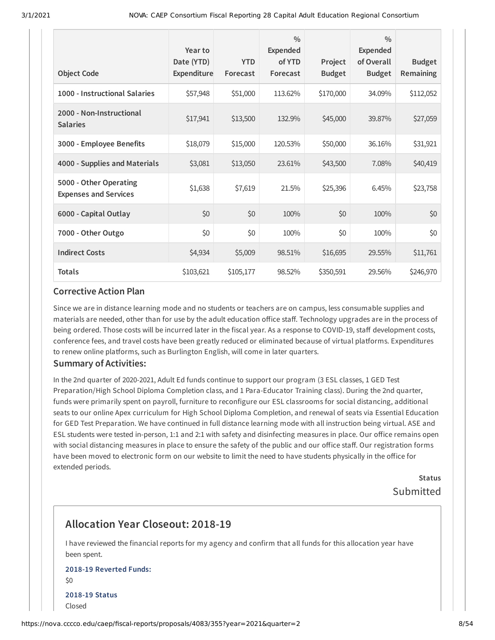| <b>Object Code</b>                                     | Year to<br>Date (YTD)<br>Expenditure | <b>YTD</b><br>Forecast | $\frac{0}{0}$<br>Expended<br>of YTD<br>Forecast | Project<br><b>Budget</b> | $\frac{0}{0}$<br>Expended<br>of Overall<br><b>Budget</b> | <b>Budget</b><br>Remaining |
|--------------------------------------------------------|--------------------------------------|------------------------|-------------------------------------------------|--------------------------|----------------------------------------------------------|----------------------------|
| 1000 - Instructional Salaries                          | \$57,948                             | \$51,000               | 113.62%                                         | \$170,000                | 34.09%                                                   | \$112,052                  |
| 2000 - Non-Instructional<br><b>Salaries</b>            | \$17,941                             | \$13,500               | 132.9%                                          | \$45,000                 | 39.87%                                                   | \$27,059                   |
| 3000 - Employee Benefits                               | \$18,079                             | \$15,000               | 120.53%                                         | \$50,000                 | 36.16%                                                   | \$31,921                   |
| 4000 - Supplies and Materials                          | \$3,081                              | \$13,050               | 23.61%                                          | \$43,500                 | 7.08%                                                    | \$40,419                   |
| 5000 - Other Operating<br><b>Expenses and Services</b> | \$1,638                              | \$7,619                | 21.5%                                           | \$25,396                 | 6.45%                                                    | \$23,758                   |
| 6000 - Capital Outlay                                  | \$0                                  | \$0                    | 100%                                            | \$0                      | 100%                                                     | \$0                        |
| 7000 - Other Outgo                                     | \$0                                  | \$0                    | 100%                                            | \$0                      | 100%                                                     | \$0                        |
| <b>Indirect Costs</b>                                  | \$4,934                              | \$5,009                | 98.51%                                          | \$16,695                 | 29.55%                                                   | \$11,761                   |
| <b>Totals</b>                                          | \$103,621                            | \$105,177              | 98.52%                                          | \$350,591                | 29.56%                                                   | \$246,970                  |

Since we are in distance learning mode and no students or teachers are on campus, less consumable supplies and materials are needed, other than for use by the adult education office staff. Technology upgrades are in the process of being ordered. Those costs will be incurred later in the fiscal year. As a response to COVID-19, staff development costs, conference fees, and travel costs have been greatly reduced or eliminated because of virtual platforms. Expenditures to renew online platforms, such as Burlington English, will come in later quarters.

### **Summary of Activities:**

In the 2nd quarter of 2020-2021, Adult Ed funds continue to support our program (3 ESL classes, 1 GED Test Preparation/High School Diploma Completion class, and 1 Para-Educator Training class). During the 2nd quarter, funds were primarily spent on payroll, furniture to reconfigure our ESL classrooms for social distancing, additional seats to our online Apex curriculum for High School Diploma Completion, and renewal of seats via Essential Education for GED Test Preparation. We have continued in full distance learning mode with all instruction being virtual. ASE and ESL students were tested in-person, 1:1 and 2:1 with safety and disinfecting measures in place. Our office remains open with social distancing measures in place to ensure the safety of the public and our office staff. Our registration forms have been moved to electronic form on our website to limit the need to have students physically in the office for extended periods.

> **Status** Submitted

## **Allocation Year Closeout: 2018-19**

I have reviewed the financial reports for my agency and confirm that all funds for this allocation year have been spent.

### **2018-19 Reverted Funds:** \$0 **2018-19 Status** Closed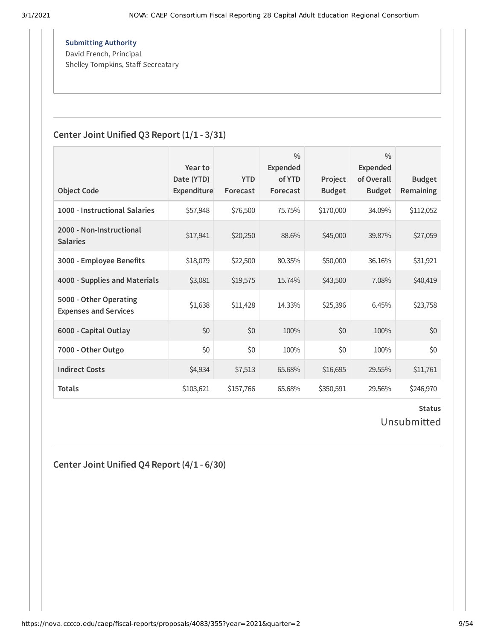$A \circ A$  support requests will be handled by the Chancellor's Oice Service  $\mathcal{A}$ **Submitting Authority** David French, Principal Shelley Tompkins, Staff Secreatary

## **Center Joint Unified Q3 Report (1/1 - 3/31)**

| <b>Object Code</b>                                     | Year to<br>Date (YTD)<br>Expenditure | <b>YTD</b><br>Forecast | $\frac{0}{0}$<br><b>Expended</b><br>of YTD<br>Forecast | Project<br><b>Budget</b> | $\frac{0}{0}$<br>Expended<br>of Overall<br><b>Budget</b> | <b>Budget</b><br>Remaining |
|--------------------------------------------------------|--------------------------------------|------------------------|--------------------------------------------------------|--------------------------|----------------------------------------------------------|----------------------------|
|                                                        |                                      |                        |                                                        |                          |                                                          |                            |
| 1000 - Instructional Salaries                          | \$57,948                             | \$76,500               | 75.75%                                                 | \$170,000                | 34.09%                                                   | \$112,052                  |
| 2000 - Non-Instructional<br><b>Salaries</b>            | \$17,941                             | \$20,250               | 88.6%                                                  | \$45,000                 | 39.87%                                                   | \$27,059                   |
| 3000 - Employee Benefits                               | \$18,079                             | \$22,500               | 80.35%                                                 | \$50,000                 | 36.16%                                                   | \$31,921                   |
| 4000 - Supplies and Materials                          | \$3,081                              | \$19,575               | 15.74%                                                 | \$43,500                 | 7.08%                                                    | \$40,419                   |
| 5000 - Other Operating<br><b>Expenses and Services</b> | \$1,638                              | \$11,428               | 14.33%                                                 | \$25,396                 | 6.45%                                                    | \$23,758                   |
| 6000 - Capital Outlay                                  | \$0                                  | \$0                    | 100%                                                   | \$0                      | 100%                                                     | \$0                        |
| 7000 - Other Outgo                                     | \$0                                  | \$0                    | 100%                                                   | \$0                      | 100%                                                     | \$0                        |
| <b>Indirect Costs</b>                                  | \$4,934                              | \$7,513                | 65.68%                                                 | \$16,695                 | 29.55%                                                   | \$11,761                   |
| <b>Totals</b>                                          | \$103,621                            | \$157,766              | 65.68%                                                 | \$350,591                | 29.56%                                                   | \$246,970                  |

### **Status** Unsubmitted

**Center Joint Unified Q4 Report (4/1 - 6/30)**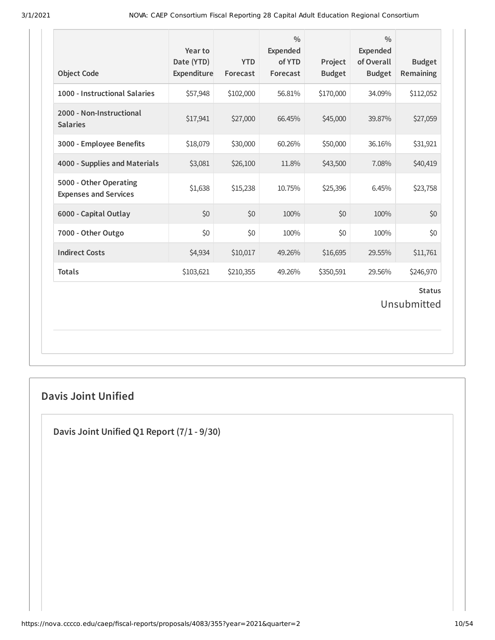| <b>Object Code</b>                                     | Year to<br>Date (YTD)<br>Expenditure | <b>YTD</b><br>Forecast | $\frac{0}{0}$<br><b>Expended</b><br>of YTD<br>Forecast | Project<br><b>Budget</b> | $\frac{0}{0}$<br><b>Expended</b><br>of Overall<br><b>Budget</b> | <b>Budget</b><br>Remaining   |
|--------------------------------------------------------|--------------------------------------|------------------------|--------------------------------------------------------|--------------------------|-----------------------------------------------------------------|------------------------------|
| 1000 - Instructional Salaries                          | \$57,948                             | \$102,000              | 56.81%                                                 | \$170,000                | 34.09%                                                          | \$112,052                    |
| 2000 - Non-Instructional<br><b>Salaries</b>            | \$17,941                             | \$27,000               | 66.45%                                                 | \$45,000                 | 39.87%                                                          | \$27,059                     |
| 3000 - Employee Benefits                               | \$18,079                             | \$30,000               | 60.26%                                                 | \$50,000                 | 36.16%                                                          | \$31,921                     |
| 4000 - Supplies and Materials                          | \$3,081                              | \$26,100               | 11.8%                                                  | \$43,500                 | 7.08%                                                           | \$40,419                     |
| 5000 - Other Operating<br><b>Expenses and Services</b> | \$1,638                              | \$15,238               | 10.75%                                                 | \$25,396                 | 6.45%                                                           | \$23,758                     |
| 6000 - Capital Outlay                                  | \$0                                  | \$0                    | 100%                                                   | \$0                      | 100%                                                            | \$0                          |
| 7000 - Other Outgo                                     | \$0                                  | \$0                    | 100%                                                   | \$0                      | 100%                                                            | \$0                          |
| <b>Indirect Costs</b>                                  | \$4,934                              | \$10,017               | 49.26%                                                 | \$16,695                 | 29.55%                                                          | \$11,761                     |
| <b>Totals</b>                                          | \$103,621                            | \$210,355              | 49.26%                                                 | \$350,591                | 29.56%                                                          | \$246,970                    |
|                                                        |                                      |                        |                                                        |                          |                                                                 | <b>Status</b><br>Unsubmitted |

## **Davis Joint Unified**

**Davis Joint Unified Q1 Report (7/1 - 9/30)**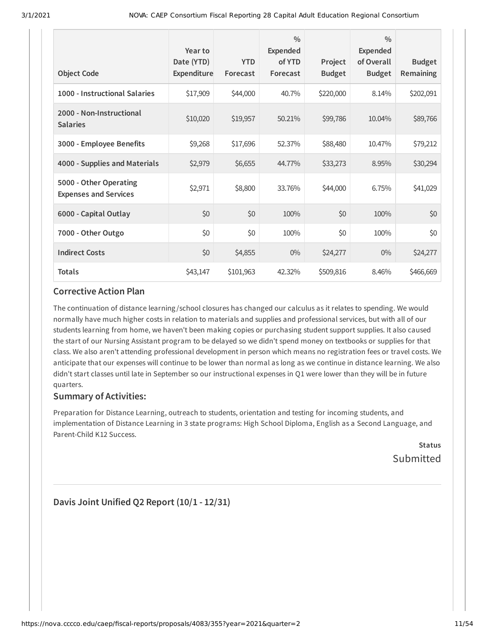| <b>Object Code</b>                                     | Year to<br>Date (YTD)<br>Expenditure | <b>YTD</b><br>Forecast | $\frac{0}{0}$<br><b>Expended</b><br>of YTD<br>Forecast | Project<br><b>Budget</b> | $\frac{0}{0}$<br>Expended<br>of Overall<br><b>Budget</b> | <b>Budget</b><br>Remaining |
|--------------------------------------------------------|--------------------------------------|------------------------|--------------------------------------------------------|--------------------------|----------------------------------------------------------|----------------------------|
| 1000 - Instructional Salaries                          | \$17,909                             | \$44,000               | 40.7%                                                  | \$220,000                | 8.14%                                                    | \$202,091                  |
| 2000 - Non-Instructional<br><b>Salaries</b>            | \$10,020                             | \$19,957               | 50.21%                                                 | \$99,786                 | 10.04%                                                   | \$89,766                   |
| 3000 - Employee Benefits                               | \$9,268                              | \$17,696               | 52.37%                                                 | \$88,480                 | 10.47%                                                   | \$79,212                   |
| 4000 - Supplies and Materials                          | \$2,979                              | \$6,655                | 44.77%                                                 | \$33,273                 | 8.95%                                                    | \$30,294                   |
| 5000 - Other Operating<br><b>Expenses and Services</b> | \$2,971                              | \$8,800                | 33.76%                                                 | \$44,000                 | 6.75%                                                    | \$41,029                   |
| 6000 - Capital Outlay                                  | \$0                                  | \$0                    | 100%                                                   | \$0                      | 100%                                                     | \$0                        |
| 7000 - Other Outgo                                     | \$0                                  | \$0                    | 100%                                                   | \$0                      | 100%                                                     | \$0                        |
| <b>Indirect Costs</b>                                  | \$0                                  | \$4,855                | $0\%$                                                  | \$24,277                 | $0\%$                                                    | \$24,277                   |
| <b>Totals</b>                                          | \$43,147                             | \$101,963              | 42.32%                                                 | \$509,816                | 8.46%                                                    | \$466,669                  |

The continuation of distance learning /school closures has changed our calculus as it relates to spending. We would normally have much higher costs in relation to materials and supplies and professional services, but with all of our students learning from home, we haven't been making copies or purchasing student support supplies. It also caused the start of our Nursing Assistant program to be delayed so we didn't spend money on textbooks or supplies for that class. We also aren't attending professional development in person which means no registration fees or travel costs. We anticipate that our expenses will continue to be lower than normal as long as we continue in distance learning. We also didn't start classes until late in September so our instructional expenses in Q1 were lower than they will be in future quarters.

### **Summary of Activities:**

Preparation for Distance Learning, outreach to students, orientation and testing for incoming students, and implementation of Distance Learning in 3 state programs: High School Diploma, English as a Second Language, and Parent-Child K12 Success.

**Status** Submitted

**Davis Joint Unified Q2 Report (10/1 - 12/31)**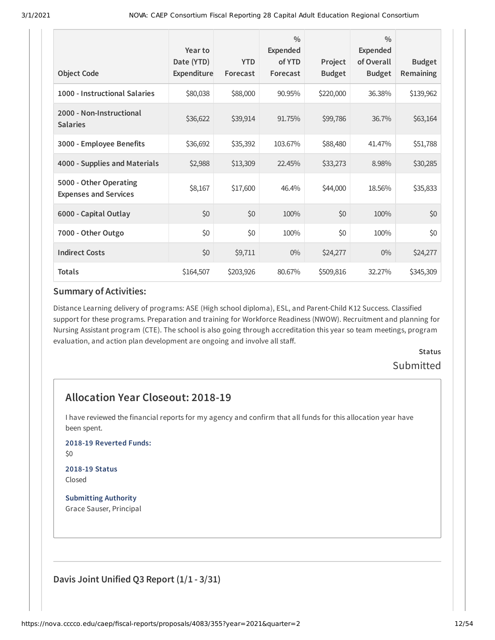| <b>Object Code</b>                                     | Year to<br>Date (YTD)<br>Expenditure | <b>YTD</b><br>Forecast | $\frac{0}{0}$<br>Expended<br>of YTD<br>Forecast | Project<br><b>Budget</b> | $\frac{0}{0}$<br><b>Expended</b><br>of Overall<br><b>Budget</b> | <b>Budget</b><br>Remaining |
|--------------------------------------------------------|--------------------------------------|------------------------|-------------------------------------------------|--------------------------|-----------------------------------------------------------------|----------------------------|
| 1000 - Instructional Salaries                          | \$80,038                             | \$88,000               | 90.95%                                          | \$220,000                | 36.38%                                                          | \$139,962                  |
| 2000 - Non-Instructional<br><b>Salaries</b>            | \$36,622                             | \$39,914               | 91.75%                                          | \$99,786                 | 36.7%                                                           | \$63,164                   |
| 3000 - Employee Benefits                               | \$36,692                             | \$35,392               | 103.67%                                         | \$88,480                 | 41.47%                                                          | \$51,788                   |
| 4000 - Supplies and Materials                          | \$2,988                              | \$13,309               | 22.45%                                          | \$33,273                 | 8.98%                                                           | \$30,285                   |
| 5000 - Other Operating<br><b>Expenses and Services</b> | \$8,167                              | \$17,600               | 46.4%                                           | \$44,000                 | 18.56%                                                          | \$35,833                   |
| 6000 - Capital Outlay                                  | \$0                                  | \$0                    | 100%                                            | \$0                      | 100%                                                            | \$0                        |
| 7000 - Other Outgo                                     | \$0                                  | \$0                    | 100%                                            | \$0                      | 100%                                                            | \$0                        |
| <b>Indirect Costs</b>                                  | \$0                                  | \$9,711                | $0\%$                                           | \$24,277                 | $0\%$                                                           | \$24,277                   |
| <b>Totals</b>                                          | \$164,507                            | \$203,926              | 80.67%                                          | \$509,816                | 32.27%                                                          | \$345,309                  |

Distance Learning delivery of programs: ASE (High school diploma), ESL, and Parent-Child K12 Success. Classified support for these programs. Preparation and training for Workforce Readiness (NWOW). Recruitment and planning for Nursing Assistant program (CTE). The school is also going through accreditation this year so team meetings, program evaluation, and action plan development are ongoing and involve all staff.

## **Status** Submitted

## **Allocation Year Closeout: 2018-19**

I have reviewed the financial reports for my agency and confirm that all funds for this allocation year have been spent.

**2018-19 Reverted Funds:**

\$0

#### **2018-19 Status** Closed

**Submitting Authority** Grace Sauser, Principal

**Davis Joint Unified Q3 Report (1/1 - 3/31)**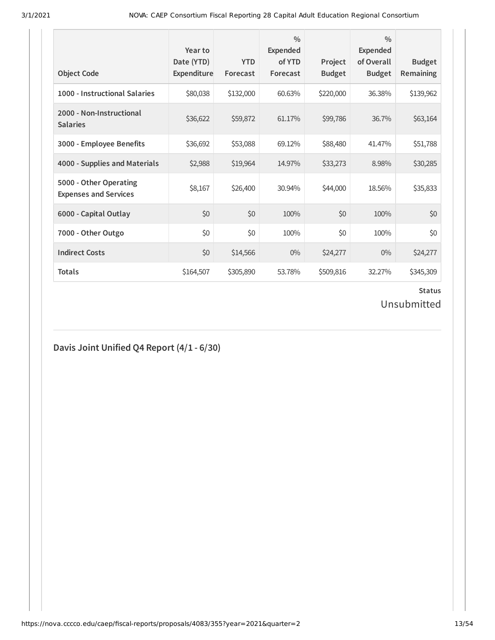| <b>Object Code</b>                                     | Year to<br>Date (YTD)<br>Expenditure | <b>YTD</b><br>Forecast | $\frac{0}{0}$<br><b>Expended</b><br>of YTD<br>Forecast | Project<br><b>Budget</b> | $\frac{0}{0}$<br>Expended<br>of Overall<br><b>Budget</b> | <b>Budget</b><br><b>Remaining</b> |
|--------------------------------------------------------|--------------------------------------|------------------------|--------------------------------------------------------|--------------------------|----------------------------------------------------------|-----------------------------------|
| 1000 - Instructional Salaries                          | \$80,038                             | \$132,000              | 60.63%                                                 | \$220,000                | 36.38%                                                   | \$139,962                         |
| 2000 - Non-Instructional<br><b>Salaries</b>            | \$36,622                             | \$59,872               | 61.17%                                                 | \$99,786                 | 36.7%                                                    | \$63,164                          |
| 3000 - Employee Benefits                               | \$36,692                             | \$53,088               | 69.12%                                                 | \$88,480                 | 41.47%                                                   | \$51,788                          |
| 4000 - Supplies and Materials                          | \$2,988                              | \$19,964               | 14.97%                                                 | \$33,273                 | 8.98%                                                    | \$30,285                          |
| 5000 - Other Operating<br><b>Expenses and Services</b> | \$8,167                              | \$26,400               | 30.94%                                                 | \$44,000                 | 18.56%                                                   | \$35,833                          |
| 6000 - Capital Outlay                                  | \$0                                  | \$0                    | 100%                                                   | \$0                      | 100%                                                     | \$0                               |
| 7000 - Other Outgo                                     | \$0                                  | \$0                    | 100%                                                   | \$0                      | 100%                                                     | \$0                               |
| <b>Indirect Costs</b>                                  | \$0                                  | \$14,566               | $0\%$                                                  | \$24,277                 | $0\%$                                                    | \$24,277                          |
| <b>Totals</b>                                          | \$164,507                            | \$305,890              | 53.78%                                                 | \$509,816                | 32.27%                                                   | \$345,309                         |

# **Status**

Unsubmitted

## **Davis Joint Unified Q4 Report (4/1 - 6/30)**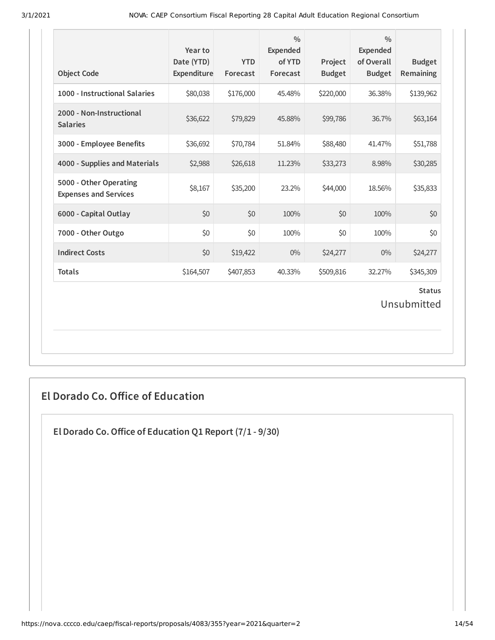| <b>Object Code</b>                                     | Year to<br>Date (YTD)<br>Expenditure | <b>YTD</b><br>Forecast | $\frac{0}{0}$<br><b>Expended</b><br>of YTD<br>Forecast | Project<br><b>Budget</b> | $\frac{0}{0}$<br><b>Expended</b><br>of Overall<br><b>Budget</b> | <b>Budget</b><br>Remaining   |
|--------------------------------------------------------|--------------------------------------|------------------------|--------------------------------------------------------|--------------------------|-----------------------------------------------------------------|------------------------------|
| 1000 - Instructional Salaries                          | \$80,038                             | \$176,000              | 45.48%                                                 | \$220,000                | 36.38%                                                          | \$139,962                    |
| 2000 - Non-Instructional<br><b>Salaries</b>            | \$36,622                             | \$79,829               | 45.88%                                                 | \$99,786                 | 36.7%                                                           | \$63,164                     |
| 3000 - Employee Benefits                               | \$36,692                             | \$70,784               | 51.84%                                                 | \$88,480                 | 41.47%                                                          | \$51,788                     |
| 4000 - Supplies and Materials                          | \$2,988                              | \$26,618               | 11.23%                                                 | \$33,273                 | 8.98%                                                           | \$30,285                     |
| 5000 - Other Operating<br><b>Expenses and Services</b> | \$8,167                              | \$35,200               | 23.2%                                                  | \$44,000                 | 18.56%                                                          | \$35,833                     |
| 6000 - Capital Outlay                                  | \$0                                  | \$0                    | 100%                                                   | \$0                      | 100%                                                            | \$0                          |
| 7000 - Other Outgo                                     | \$0                                  | \$0                    | 100%                                                   | \$0                      | 100%                                                            | \$0                          |
| <b>Indirect Costs</b>                                  | \$0                                  | \$19,422               | $0\%$                                                  | \$24,277                 | $0\%$                                                           | \$24,277                     |
| <b>Totals</b>                                          | \$164,507                            | \$407,853              | 40.33%                                                 | \$509,816                | 32.27%                                                          | \$345,309                    |
|                                                        |                                      |                        |                                                        |                          |                                                                 | <b>Status</b><br>Unsubmitted |

## **El Dorado Co. Oice of Education**

**El Dorado Co.Oice of Education Q1 Report (7/1 - 9/30)**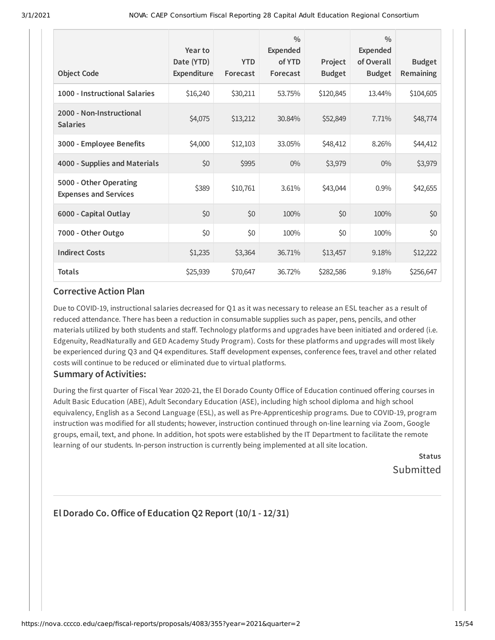| <b>Object Code</b>                                     | Year to<br>Date (YTD)<br>Expenditure | <b>YTD</b><br>Forecast | $\frac{0}{0}$<br><b>Expended</b><br>of YTD<br>Forecast | Project<br><b>Budget</b> | $\frac{0}{0}$<br><b>Expended</b><br>of Overall<br><b>Budget</b> | <b>Budget</b><br><b>Remaining</b> |
|--------------------------------------------------------|--------------------------------------|------------------------|--------------------------------------------------------|--------------------------|-----------------------------------------------------------------|-----------------------------------|
| 1000 - Instructional Salaries                          | \$16,240                             | \$30,211               | 53.75%                                                 | \$120,845                | 13.44%                                                          | \$104,605                         |
| 2000 - Non-Instructional<br><b>Salaries</b>            | \$4,075                              | \$13,212               | 30.84%                                                 | \$52,849                 | 7.71%                                                           | \$48,774                          |
| 3000 - Employee Benefits                               | \$4,000                              | \$12,103               | 33.05%                                                 | \$48,412                 | 8.26%                                                           | \$44,412                          |
| 4000 - Supplies and Materials                          | \$0                                  | \$995                  | $0\%$                                                  | \$3,979                  | $0\%$                                                           | \$3,979                           |
| 5000 - Other Operating<br><b>Expenses and Services</b> | \$389                                | \$10,761               | 3.61%                                                  | \$43,044                 | 0.9%                                                            | \$42,655                          |
| 6000 - Capital Outlay                                  | \$0                                  | \$0                    | 100%                                                   | \$0                      | 100%                                                            | \$0                               |
| 7000 - Other Outgo                                     | \$0                                  | \$0                    | 100%                                                   | \$0                      | 100%                                                            | \$0                               |
| <b>Indirect Costs</b>                                  | \$1,235                              | \$3,364                | 36.71%                                                 | \$13,457                 | 9.18%                                                           | \$12,222                          |
| <b>Totals</b>                                          | \$25,939                             | \$70,647               | 36.72%                                                 | \$282,586                | 9.18%                                                           | \$256,647                         |

Due to COVID-19, instructional salaries decreased for Q1 as it was necessary to release an ESL teacher as a result of reduced attendance. There has been a reduction in consumable supplies such as paper, pens, pencils, and other materials utilized by both students and staff. Technology platforms and upgrades have been initiated and ordered (i.e. Edgenuity, ReadNaturally and GED Academy Study Program). Costs for these platforms and upgrades will most likely be experienced during Q3 and Q4 expenditures. Staff development expenses, conference fees, travel and other related costs will continue to be reduced or eliminated due to virtual platforms.

### **Summary of Activities:**

During the first quarter of Fiscal Year 2020-21, the El Dorado County Office of Education continued offering courses in Adult Basic Education (ABE), Adult Secondary Education (ASE), including high school diploma and high school equivalency, English as a Second Language (ESL), as well as Pre-Apprenticeship programs. Due to COVID-19, program instruction was modified for all students; however, instruction continued through on-line learning via Zoom, Google groups, email, text, and phone. In addition, hot spots were established by the IT Department to facilitate the remote learning of our students. In-person instruction is currently being implemented at all site location.

> **Status Submitted**

## **El Dorado Co.Oice of Education Q2 Report (10/1 - 12/31)**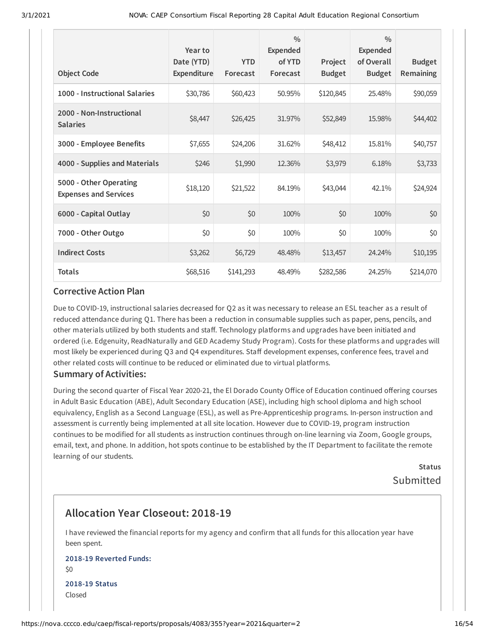| <b>Object Code</b>                                     | Year to<br>Date (YTD)<br>Expenditure | <b>YTD</b><br>Forecast | $\frac{0}{0}$<br><b>Expended</b><br>of YTD<br>Forecast | Project<br><b>Budget</b> | $\frac{0}{0}$<br>Expended<br>of Overall<br><b>Budget</b> | <b>Budget</b><br>Remaining |
|--------------------------------------------------------|--------------------------------------|------------------------|--------------------------------------------------------|--------------------------|----------------------------------------------------------|----------------------------|
| 1000 - Instructional Salaries                          | \$30,786                             | \$60,423               | 50.95%                                                 | \$120,845                | 25.48%                                                   | \$90,059                   |
| 2000 - Non-Instructional<br><b>Salaries</b>            | \$8,447                              | \$26,425               | 31.97%                                                 | \$52,849                 | 15.98%                                                   | \$44,402                   |
| 3000 - Employee Benefits                               | \$7,655                              | \$24,206               | 31.62%                                                 | \$48,412                 | 15.81%                                                   | \$40,757                   |
| 4000 - Supplies and Materials                          | \$246                                | \$1,990                | 12.36%                                                 | \$3,979                  | 6.18%                                                    | \$3,733                    |
| 5000 - Other Operating<br><b>Expenses and Services</b> | \$18,120                             | \$21,522               | 84.19%                                                 | \$43,044                 | 42.1%                                                    | \$24,924                   |
| 6000 - Capital Outlay                                  | \$0                                  | \$0                    | 100%                                                   | \$0                      | 100%                                                     | \$0                        |
| 7000 - Other Outgo                                     | \$0                                  | \$0                    | 100%                                                   | \$0                      | 100%                                                     | \$0                        |
| <b>Indirect Costs</b>                                  | \$3,262                              | \$6,729                | 48.48%                                                 | \$13,457                 | 24.24%                                                   | \$10,195                   |
| <b>Totals</b>                                          | \$68,516                             | \$141,293              | 48.49%                                                 | \$282,586                | 24.25%                                                   | \$214,070                  |

Due to COVID-19, instructional salaries decreased for Q2 as it was necessary to release an ESL teacher as a result of reduced attendance during Q1. There has been a reduction in consumable supplies such as paper, pens, pencils, and other materials utilized by both students and staff. Technology platforms and upgrades have been initiated and ordered (i.e. Edgenuity, ReadNaturally and GED Academy Study Program). Costs for these platforms and upgrades will most likely be experienced during Q3 and Q4 expenditures. Staff development expenses, conference fees, travel and other related costs will continue to be reduced or eliminated due to virtual platforms.

### **Summary of Activities:**

During the second quarter of Fiscal Year 2020-21, the El Dorado County Office of Education continued offering courses in Adult Basic Education (ABE), Adult Secondary Education (ASE), including high school diploma and high school equivalency, English as a Second Language (ESL), as well as Pre-Apprenticeship programs. In-person instruction and assessment is currently being implemented at all site location. However due to COVID-19, program instruction continues to be modified for all students as instruction continues through on-line learning via Zoom, Google groups, email, text, and phone. In addition, hot spots continue to be established by the IT Department to facilitate the remote learning of our students.

> **Status** Submitted

## **Allocation Year Closeout: 2018-19**

I have reviewed the financial reports for my agency and confirm that all funds for this allocation year have been spent.

## **2018-19 Reverted Funds:**

\$0 **2018-19 Status** Closed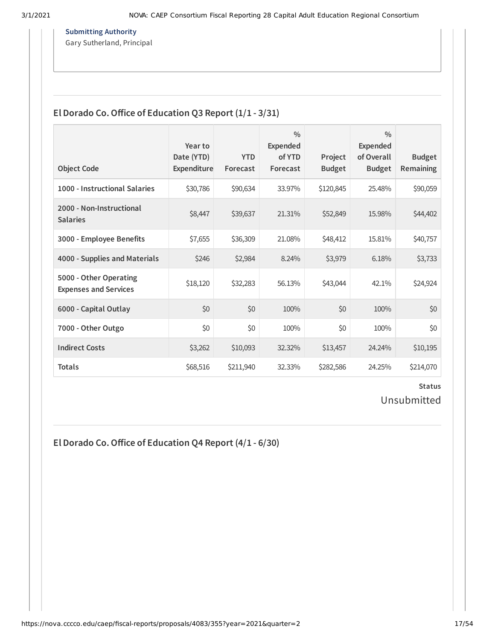**Submitting Authority**

 $\mathcal{L}_{\text{in}}$  . Notation support requests with the chancellor of  $\mathcal{L}_{\text{in}}$ Gary Sutherland, Principal

## **El Dorado Co.Oice of Education Q3 Report (1/1 - 3/31)**

| <b>Object Code</b>                                     | Year to<br>Date (YTD)<br>Expenditure | <b>YTD</b><br>Forecast | $\frac{0}{0}$<br><b>Expended</b><br>of YTD<br>Forecast | Project<br><b>Budget</b> | $\frac{0}{0}$<br>Expended<br>of Overall<br><b>Budget</b> | <b>Budget</b><br><b>Remaining</b> |
|--------------------------------------------------------|--------------------------------------|------------------------|--------------------------------------------------------|--------------------------|----------------------------------------------------------|-----------------------------------|
| 1000 - Instructional Salaries                          | \$30,786                             | \$90,634               | 33.97%                                                 | \$120,845                | 25.48%                                                   | \$90,059                          |
| 2000 - Non-Instructional<br><b>Salaries</b>            | \$8,447                              | \$39,637               | 21.31%                                                 | \$52,849                 | 15.98%                                                   | \$44,402                          |
| 3000 - Employee Benefits                               | \$7,655                              | \$36,309               | 21.08%                                                 | \$48,412                 | 15.81%                                                   | \$40,757                          |
| 4000 - Supplies and Materials                          | \$246                                | \$2,984                | 8.24%                                                  | \$3,979                  | 6.18%                                                    | \$3,733                           |
| 5000 - Other Operating<br><b>Expenses and Services</b> | \$18,120                             | \$32,283               | 56.13%                                                 | \$43,044                 | 42.1%                                                    | \$24,924                          |
| 6000 - Capital Outlay                                  | \$0                                  | \$0                    | 100%                                                   | \$0                      | 100%                                                     | \$0                               |
| 7000 - Other Outgo                                     | \$0                                  | \$0                    | 100%                                                   | \$0                      | 100%                                                     | \$0                               |
| <b>Indirect Costs</b>                                  | \$3,262                              | \$10,093               | 32.32%                                                 | \$13,457                 | 24.24%                                                   | \$10,195                          |
| <b>Totals</b>                                          | \$68,516                             | \$211,940              | 32.33%                                                 | \$282,586                | 24.25%                                                   | \$214,070                         |

### **Status** Unsubmitted

**El Dorado Co.Oice of Education Q4 Report (4/1 - 6/30)**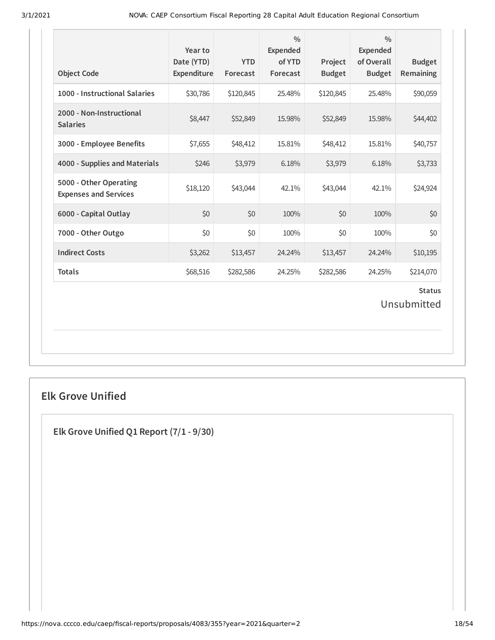| <b>Object Code</b>                                     | Year to<br>Date (YTD)<br>Expenditure | <b>YTD</b><br>Forecast | $\frac{0}{0}$<br><b>Expended</b><br>of YTD<br>Forecast | Project<br><b>Budget</b> | $\frac{0}{0}$<br><b>Expended</b><br>of Overall<br><b>Budget</b> | <b>Budget</b><br>Remaining |  |
|--------------------------------------------------------|--------------------------------------|------------------------|--------------------------------------------------------|--------------------------|-----------------------------------------------------------------|----------------------------|--|
| 1000 - Instructional Salaries                          | \$30,786                             | \$120,845              | 25.48%                                                 | \$120,845                | 25.48%                                                          | \$90,059                   |  |
| 2000 - Non-Instructional<br><b>Salaries</b>            | \$8,447                              | \$52,849               | 15.98%                                                 | \$52,849                 | 15.98%                                                          | \$44,402                   |  |
| 3000 - Employee Benefits                               | \$7,655                              | \$48,412               | 15.81%                                                 | \$48,412                 | 15.81%                                                          | \$40,757                   |  |
| 4000 - Supplies and Materials                          | \$246                                | \$3,979                | 6.18%                                                  | \$3,979                  | 6.18%                                                           | \$3,733                    |  |
| 5000 - Other Operating<br><b>Expenses and Services</b> | \$18,120                             | \$43,044               | 42.1%                                                  | \$43,044                 | 42.1%                                                           | \$24,924                   |  |
| 6000 - Capital Outlay                                  | \$0                                  | \$0                    | 100%                                                   | \$0                      | 100%                                                            | \$0                        |  |
| 7000 - Other Outgo                                     | \$0                                  | \$0                    | 100%                                                   | \$0                      | 100%                                                            | \$0                        |  |
| <b>Indirect Costs</b>                                  | \$3,262                              | \$13,457               | 24.24%                                                 | \$13,457                 | 24.24%                                                          | \$10,195                   |  |
| <b>Totals</b>                                          | \$68,516                             | \$282,586              | 24.25%                                                 | \$282,586                | 24.25%                                                          | \$214,070                  |  |
| <b>Status</b><br>Unsubmitted                           |                                      |                        |                                                        |                          |                                                                 |                            |  |

## **Elk Grove Unified**

**Elk Grove Unified Q1 Report (7/1 - 9/30)**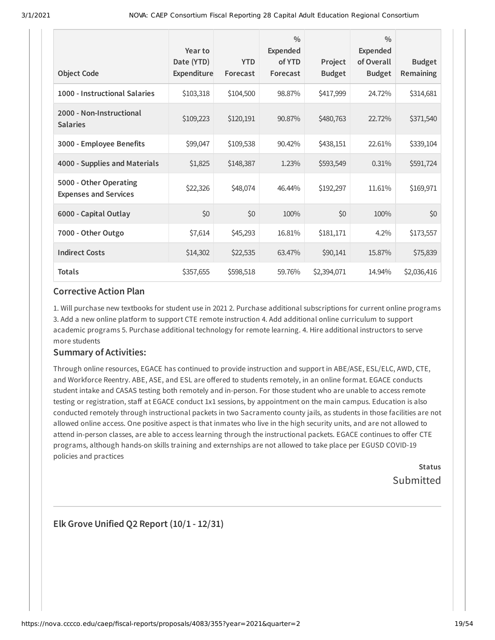| <b>Object Code</b>                                     | Year to<br>Date (YTD)<br>Expenditure | <b>YTD</b><br>Forecast | $\frac{0}{0}$<br><b>Expended</b><br>of YTD<br>Forecast | Project<br><b>Budget</b> | $\frac{0}{0}$<br>Expended<br>of Overall<br><b>Budget</b> | <b>Budget</b><br>Remaining |
|--------------------------------------------------------|--------------------------------------|------------------------|--------------------------------------------------------|--------------------------|----------------------------------------------------------|----------------------------|
| 1000 - Instructional Salaries                          | \$103,318                            | \$104,500              | 98.87%                                                 | \$417,999                | 24.72%                                                   | \$314,681                  |
| 2000 - Non-Instructional<br><b>Salaries</b>            | \$109,223                            | \$120,191              | 90.87%                                                 | \$480,763                | 22.72%                                                   | \$371,540                  |
| 3000 - Employee Benefits                               | \$99,047                             | \$109,538              | 90.42%                                                 | \$438,151                | 22.61%                                                   | \$339,104                  |
| 4000 - Supplies and Materials                          | \$1,825                              | \$148,387              | 1.23%                                                  | \$593,549                | 0.31%                                                    | \$591,724                  |
| 5000 - Other Operating<br><b>Expenses and Services</b> | \$22,326                             | \$48,074               | 46.44%                                                 | \$192,297                | 11.61%                                                   | \$169,971                  |
| 6000 - Capital Outlay                                  | \$0                                  | \$0                    | 100%                                                   | \$0                      | 100%                                                     | \$0                        |
| 7000 - Other Outgo                                     | \$7,614                              | \$45,293               | 16.81%                                                 | \$181,171                | 4.2%                                                     | \$173,557                  |
| <b>Indirect Costs</b>                                  | \$14,302                             | \$22,535               | 63.47%                                                 | \$90,141                 | 15.87%                                                   | \$75,839                   |
| <b>Totals</b>                                          | \$357,655                            | \$598,518              | 59.76%                                                 | \$2,394,071              | 14.94%                                                   | \$2,036,416                |

1. Will purchase new textbooks for student use in 2021 2. Purchase additional subscriptions for current online programs 3. Add a new online platform to support CTE remote instruction 4. Add additional online curriculum to support academic programs 5. Purchase additional technology for remote learning. 4. Hire additional instructors to serve more students

### **Summary of Activities:**

Through online resources, EGACE has continued to provide instruction and support in ABE/ASE, ESL/ELC, AWD, CTE, and Workforce Reentry. ABE, ASE, and ESL are offered to students remotely, in an online format. EGACE conducts student intake and CASAS testing both remotely and in-person. For those student who are unable to access remote testing or registration, staff at EGACE conduct 1x1 sessions, by appointment on the main campus. Education is also conducted remotely through instructional packets in two Sacramento county jails, as students in those facilities are not allowed online access. One positive aspect is that inmates who live in the high security units, and are not allowed to attend in-person classes, are able to access learning through the instructional packets. EGACE continues to offer CTE programs, although hands-on skills training and externships are not allowed to take place per EGUSD COVID-19 policies and practices

> **Status** Submitted

**Elk Grove Unified Q2 Report (10/1 - 12/31)**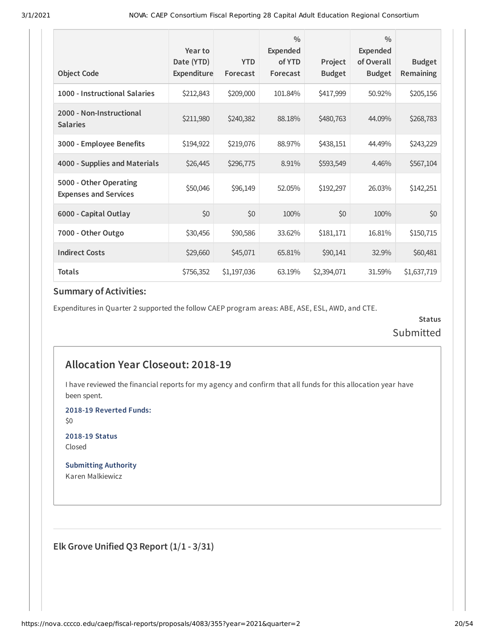| <b>Object Code</b>                                     | Year to<br>Date (YTD)<br>Expenditure | <b>YTD</b><br>Forecast | $\frac{0}{0}$<br>Expended<br>of YTD<br>Forecast | Project<br><b>Budget</b> | $\frac{0}{0}$<br>Expended<br>of Overall<br><b>Budget</b> | <b>Budget</b><br>Remaining |
|--------------------------------------------------------|--------------------------------------|------------------------|-------------------------------------------------|--------------------------|----------------------------------------------------------|----------------------------|
| 1000 - Instructional Salaries                          | \$212,843                            | \$209,000              | 101.84%                                         | \$417,999                | 50.92%                                                   | \$205,156                  |
| 2000 - Non-Instructional<br><b>Salaries</b>            | \$211,980                            | \$240,382              | 88.18%                                          | \$480,763                | 44.09%                                                   | \$268,783                  |
| 3000 - Employee Benefits                               | \$194,922                            | \$219,076              | 88.97%                                          | \$438,151                | 44.49%                                                   | \$243,229                  |
| 4000 - Supplies and Materials                          | \$26,445                             | \$296,775              | 8.91%                                           | \$593,549                | 4.46%                                                    | \$567,104                  |
| 5000 - Other Operating<br><b>Expenses and Services</b> | \$50,046                             | \$96,149               | 52.05%                                          | \$192,297                | 26.03%                                                   | \$142,251                  |
| 6000 - Capital Outlay                                  | \$0                                  | \$0                    | 100%                                            | \$0                      | 100%                                                     | \$0                        |
| 7000 - Other Outgo                                     | \$30,456                             | \$90,586               | 33.62%                                          | \$181,171                | 16.81%                                                   | \$150,715                  |
| <b>Indirect Costs</b>                                  | \$29,660                             | \$45,071               | 65.81%                                          | \$90,141                 | 32.9%                                                    | \$60,481                   |
| <b>Totals</b>                                          | \$756,352                            | \$1,197,036            | 63.19%                                          | \$2,394,071              | 31.59%                                                   | \$1,637,719                |

Expenditures in Quarter 2 supported the follow CAEP program areas: ABE, ASE, ESL, AWD, and CTE.

**Status Submitted** 

## **Allocation Year Closeout: 2018-19**

I have reviewed the financial reports for my agency and confirm that all funds for this allocation year have been spent.

**2018-19 Reverted Funds:**

\$0

**2018-19 Status** Closed

**Submitting Authority** Karen Malkiewicz

**Elk Grove Unified Q3 Report (1/1 - 3/31)**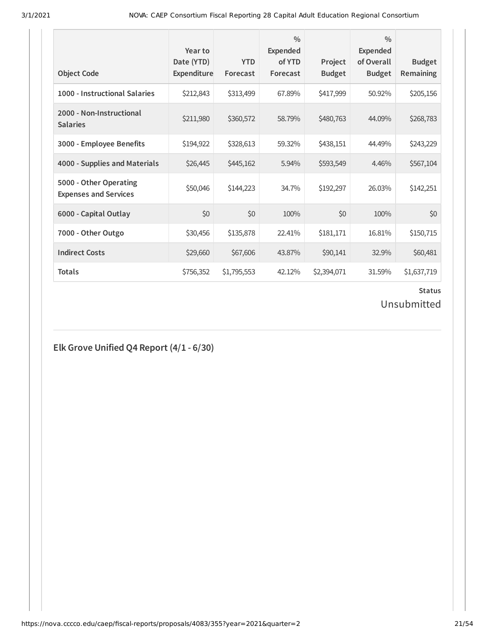| <b>Object Code</b>                                     | Year to<br>Date (YTD)<br>Expenditure | <b>YTD</b><br>Forecast | $\frac{0}{0}$<br><b>Expended</b><br>of YTD<br>Forecast | Project<br><b>Budget</b> | $\frac{0}{0}$<br><b>Expended</b><br>of Overall<br><b>Budget</b> | <b>Budget</b><br>Remaining |
|--------------------------------------------------------|--------------------------------------|------------------------|--------------------------------------------------------|--------------------------|-----------------------------------------------------------------|----------------------------|
| 1000 - Instructional Salaries                          | \$212,843                            | \$313,499              | 67.89%                                                 | \$417,999                | 50.92%                                                          | \$205,156                  |
| 2000 - Non-Instructional<br><b>Salaries</b>            | \$211,980                            | \$360,572              | 58.79%                                                 | \$480,763                | 44.09%                                                          | \$268,783                  |
| 3000 - Employee Benefits                               | \$194,922                            | \$328,613              | 59.32%                                                 | \$438,151                | 44.49%                                                          | \$243,229                  |
| 4000 - Supplies and Materials                          | \$26,445                             | \$445,162              | 5.94%                                                  | \$593,549                | 4.46%                                                           | \$567,104                  |
| 5000 - Other Operating<br><b>Expenses and Services</b> | \$50,046                             | \$144,223              | 34.7%                                                  | \$192,297                | 26.03%                                                          | \$142,251                  |
| 6000 - Capital Outlay                                  | \$0                                  | \$0                    | 100%                                                   | \$0                      | 100%                                                            | \$0                        |
| 7000 - Other Outgo                                     | \$30,456                             | \$135,878              | 22.41%                                                 | \$181,171                | 16.81%                                                          | \$150,715                  |
| <b>Indirect Costs</b>                                  | \$29,660                             | \$67,606               | 43.87%                                                 | \$90,141                 | 32.9%                                                           | \$60,481                   |
| <b>Totals</b>                                          | \$756,352                            | \$1,795,553            | 42.12%                                                 | \$2,394,071              | 31.59%                                                          | \$1,637,719                |

### **Status**

Unsubmitted

**Elk Grove Unified Q4 Report (4/1 - 6/30)**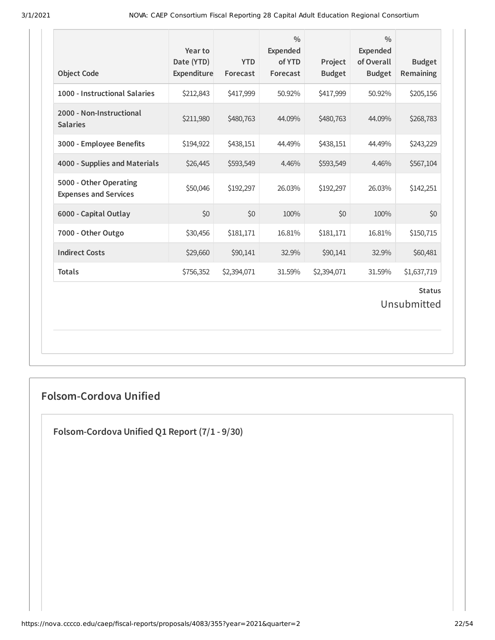| <b>Object Code</b>                                     | Year to<br>Date (YTD)<br>Expenditure | <b>YTD</b><br>Forecast | $\frac{0}{0}$<br><b>Expended</b><br>of YTD<br>Forecast | Project<br><b>Budget</b> | $\frac{0}{0}$<br><b>Expended</b><br>of Overall<br><b>Budget</b> | <b>Budget</b><br>Remaining   |
|--------------------------------------------------------|--------------------------------------|------------------------|--------------------------------------------------------|--------------------------|-----------------------------------------------------------------|------------------------------|
| 1000 - Instructional Salaries                          | \$212,843                            | \$417,999              | 50.92%                                                 | \$417,999                | 50.92%                                                          | \$205,156                    |
| 2000 - Non-Instructional<br><b>Salaries</b>            | \$211,980                            | \$480,763              | 44.09%                                                 | \$480,763                | 44.09%                                                          | \$268,783                    |
| 3000 - Employee Benefits                               | \$194,922                            | \$438,151              | 44.49%                                                 | \$438,151                | 44.49%                                                          | \$243,229                    |
| 4000 - Supplies and Materials                          | \$26,445                             | \$593,549              | 4.46%                                                  | \$593,549                | 4.46%                                                           | \$567,104                    |
| 5000 - Other Operating<br><b>Expenses and Services</b> | \$50,046                             | \$192,297              | 26.03%                                                 | \$192,297                | 26.03%                                                          | \$142,251                    |
| 6000 - Capital Outlay                                  | \$0                                  | \$0                    | 100%                                                   | \$0                      | 100%                                                            | \$0                          |
| 7000 - Other Outgo                                     | \$30,456                             | \$181,171              | 16.81%                                                 | \$181,171                | 16.81%                                                          | \$150,715                    |
| <b>Indirect Costs</b>                                  | \$29,660                             | \$90,141               | 32.9%                                                  | \$90,141                 | 32.9%                                                           | \$60,481                     |
| <b>Totals</b>                                          | \$756,352                            | \$2,394,071            | 31.59%                                                 | \$2,394,071              | 31.59%                                                          | \$1,637,719                  |
|                                                        |                                      |                        |                                                        |                          |                                                                 | <b>Status</b><br>Unsubmitted |

## **Folsom-Cordova Unified**

**Folsom-Cordova Unified Q1 Report (7/1 - 9/30)**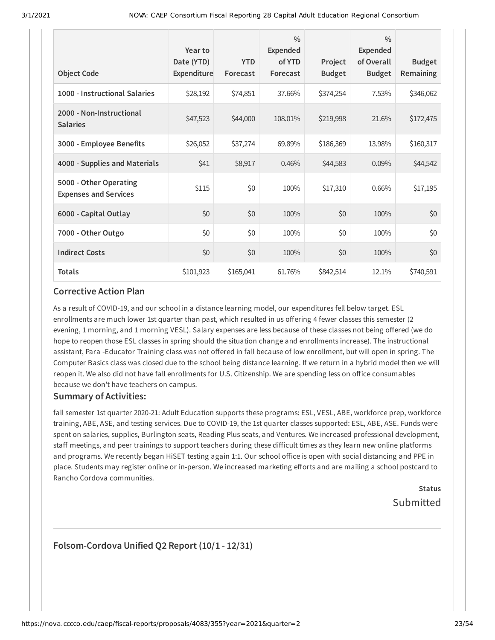| <b>Object Code</b>                                     | Year to<br>Date (YTD)<br>Expenditure | <b>YTD</b><br>Forecast | $\frac{0}{0}$<br><b>Expended</b><br>of YTD<br>Forecast | Project<br><b>Budget</b> | $\frac{0}{0}$<br><b>Expended</b><br>of Overall<br><b>Budget</b> | <b>Budget</b><br><b>Remaining</b> |
|--------------------------------------------------------|--------------------------------------|------------------------|--------------------------------------------------------|--------------------------|-----------------------------------------------------------------|-----------------------------------|
| 1000 - Instructional Salaries                          | \$28,192                             | \$74,851               | 37.66%                                                 | \$374,254                | 7.53%                                                           | \$346,062                         |
| 2000 - Non-Instructional<br><b>Salaries</b>            | \$47,523                             | \$44,000               | 108.01%                                                | \$219,998                | 21.6%                                                           | \$172,475                         |
| 3000 - Employee Benefits                               | \$26,052                             | \$37,274               | 69.89%                                                 | \$186,369                | 13.98%                                                          | \$160,317                         |
| 4000 - Supplies and Materials                          | \$41                                 | \$8,917                | 0.46%                                                  | \$44,583                 | 0.09%                                                           | \$44,542                          |
| 5000 - Other Operating<br><b>Expenses and Services</b> | \$115                                | \$0                    | 100%                                                   | \$17,310                 | 0.66%                                                           | \$17,195                          |
| 6000 - Capital Outlay                                  | \$0                                  | \$0                    | 100%                                                   | \$0                      | 100%                                                            | \$0                               |
| 7000 - Other Outgo                                     | \$0                                  | \$0                    | 100%                                                   | \$0                      | 100%                                                            | \$0                               |
| <b>Indirect Costs</b>                                  | \$0                                  | \$0                    | 100%                                                   | \$0                      | 100%                                                            | \$0                               |
| <b>Totals</b>                                          | \$101,923                            | \$165,041              | 61.76%                                                 | \$842,514                | 12.1%                                                           | \$740,591                         |

As a result of COVID-19, and our school in a distance learning model, our expenditures fell below target. ESL enrollments are much lower 1st quarter than past, which resulted in us offering 4 fewer classes this semester (2 evening, 1 morning, and 1 morning VESL). Salary expenses are less because of these classes not being offered (we do hope to reopen those ESL classes in spring should the situation change and enrollments increase). The instructional assistant, Para -Educator Training class was not offered in fall because of low enrollment, but will open in spring. The Computer Basics class was closed due to the school being distance learning. If we return in a hybrid model then we will reopen it. We also did not have fall enrollments for U.S. Citizenship. We are spending less on office consumables because we don't have teachers on campus.

### **Summary of Activities:**

fall semester 1st quarter 2020-21: Adult Education supports these programs: ESL, VESL, ABE, workforce prep, workforce training, ABE, ASE, and testing services. Due to COVID-19, the 1st quarter classes supported: ESL, ABE, ASE. Funds were spent on salaries, supplies, Burlington seats, Reading Plus seats, and Ventures. We increased professional development, staff meetings, and peer trainings to support teachers during these difficult times as they learn new online platforms and programs. We recently began HiSET testing again 1:1. Our school office is open with social distancing and PPE in place. Students may register online or in-person. We increased marketing efforts and are mailing a school postcard to Rancho Cordova communities.

## **Status Submitted**

## **Folsom-Cordova Unified Q2 Report (10/1 - 12/31)**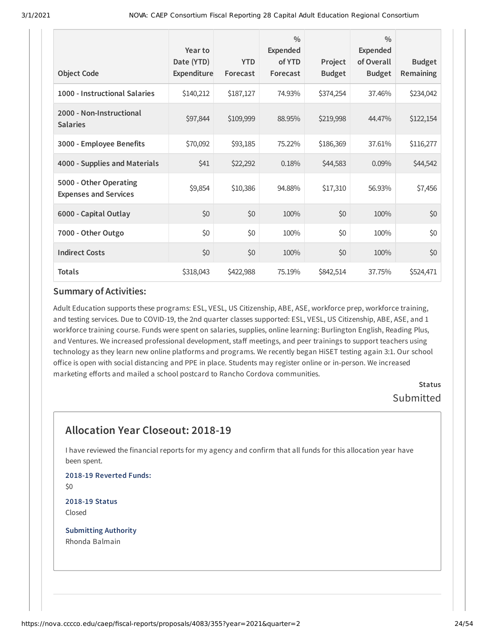| <b>Object Code</b>                                     | Year to<br>Date (YTD)<br>Expenditure | <b>YTD</b><br>Forecast | $\frac{0}{0}$<br><b>Expended</b><br>of YTD<br>Forecast | Project<br><b>Budget</b> | $\frac{0}{0}$<br>Expended<br>of Overall<br><b>Budget</b> | <b>Budget</b><br>Remaining |
|--------------------------------------------------------|--------------------------------------|------------------------|--------------------------------------------------------|--------------------------|----------------------------------------------------------|----------------------------|
| 1000 - Instructional Salaries                          | \$140,212                            | \$187,127              | 74.93%                                                 | \$374,254                | 37.46%                                                   | \$234,042                  |
| 2000 - Non-Instructional<br><b>Salaries</b>            | \$97,844                             | \$109,999              | 88.95%                                                 | \$219,998                | 44.47%                                                   | \$122,154                  |
| 3000 - Employee Benefits                               | \$70,092                             | \$93,185               | 75.22%                                                 | \$186,369                | 37.61%                                                   | \$116,277                  |
| 4000 - Supplies and Materials                          | \$41                                 | \$22,292               | 0.18%                                                  | \$44,583                 | 0.09%                                                    | \$44,542                   |
| 5000 - Other Operating<br><b>Expenses and Services</b> | \$9,854                              | \$10,386               | 94.88%                                                 | \$17,310                 | 56.93%                                                   | \$7,456                    |
| 6000 - Capital Outlay                                  | \$0                                  | \$0                    | 100%                                                   | \$0                      | 100%                                                     | \$0                        |
| 7000 - Other Outgo                                     | \$0                                  | \$0                    | 100%                                                   | \$0                      | 100%                                                     | \$0                        |
| <b>Indirect Costs</b>                                  | \$0                                  | \$0                    | 100%                                                   | \$0                      | 100%                                                     | \$0                        |
| <b>Totals</b>                                          | \$318,043                            | \$422,988              | 75.19%                                                 | \$842,514                | 37.75%                                                   | \$524,471                  |

Adult Education supports these programs: ESL, VESL, US Citizenship, ABE, ASE, workforce prep, workforce training, and testing services. Due to COVID-19, the 2nd quarter classes supported: ESL, VESL, US Citizenship, ABE, ASE, and 1 workforce training course. Funds were spent on salaries, supplies, online learning: Burlington English, Reading Plus, and Ventures. We increased professional development, staff meetings, and peer trainings to support teachers using technology as they learn new online platforms and programs. We recently began HiSET testing again 3:1. Our school office is open with social distancing and PPE in place. Students may register online or in-person. We increased marketing efforts and mailed a school postcard to Rancho Cordova communities.

**Status** Submitted

## **Allocation Year Closeout: 2018-19**

I have reviewed the financial reports for my agency and confirm that all funds for this allocation year have been spent.

**2018-19 Reverted Funds:** \$0

**2018-19 Status** Closed

**Submitting Authority** Rhonda Balmain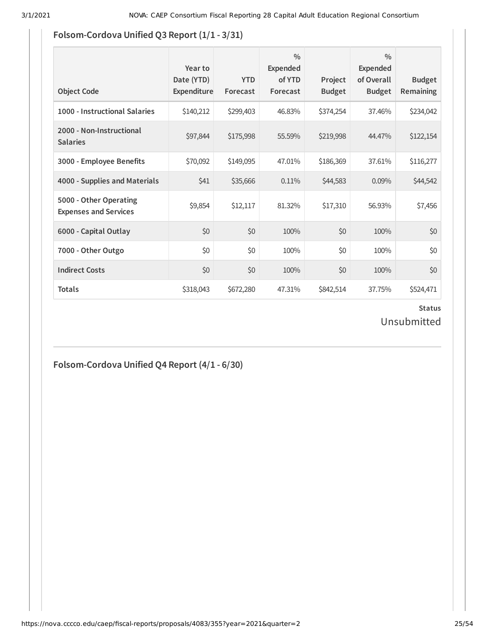## **Fo** As of 3/1/2021, NOVA support requests will be handled by the Chancellor's Oice ServiceNow portal **lsom-Cordova Unified Q3 Report (1/1 - 3/31)**

| <b>Object Code</b>                                     | Year to<br>Date (YTD)<br><b>Expenditure</b> | <b>YTD</b><br>Forecast | $\frac{0}{0}$<br><b>Expended</b><br>of YTD<br>Forecast | Project<br><b>Budget</b> | $\frac{0}{0}$<br><b>Expended</b><br>of Overall<br><b>Budget</b> | <b>Budget</b><br><b>Remaining</b> |
|--------------------------------------------------------|---------------------------------------------|------------------------|--------------------------------------------------------|--------------------------|-----------------------------------------------------------------|-----------------------------------|
| 1000 - Instructional Salaries                          | \$140,212                                   | \$299,403              | 46.83%                                                 | \$374,254                | 37.46%                                                          | \$234,042                         |
| 2000 - Non-Instructional<br><b>Salaries</b>            | \$97,844                                    | \$175,998              | 55.59%                                                 | \$219,998                | 44.47%                                                          | \$122,154                         |
| 3000 - Employee Benefits                               | \$70,092                                    | \$149,095              | 47.01%                                                 | \$186,369                | 37.61%                                                          | \$116,277                         |
| 4000 - Supplies and Materials                          | \$41                                        | \$35,666               | 0.11%                                                  | \$44,583                 | 0.09%                                                           | \$44,542                          |
| 5000 - Other Operating<br><b>Expenses and Services</b> | \$9,854                                     | \$12,117               | 81.32%                                                 | \$17,310                 | 56.93%                                                          | \$7,456                           |
| 6000 - Capital Outlay                                  | \$0                                         | \$0                    | 100%                                                   | \$0                      | 100%                                                            | \$0                               |
| 7000 - Other Outgo                                     | \$0                                         | \$0                    | 100%                                                   | \$0                      | 100%                                                            | \$0                               |
| <b>Indirect Costs</b>                                  | \$0                                         | \$0                    | 100%                                                   | \$0                      | 100%                                                            | \$0                               |
| <b>Totals</b>                                          | \$318,043                                   | \$672,280              | 47.31%                                                 | \$842,514                | 37.75%                                                          | \$524,471                         |

## **Status** Unsubmitted

## **Folsom-Cordova Unified Q4 Report (4/1 - 6/30)**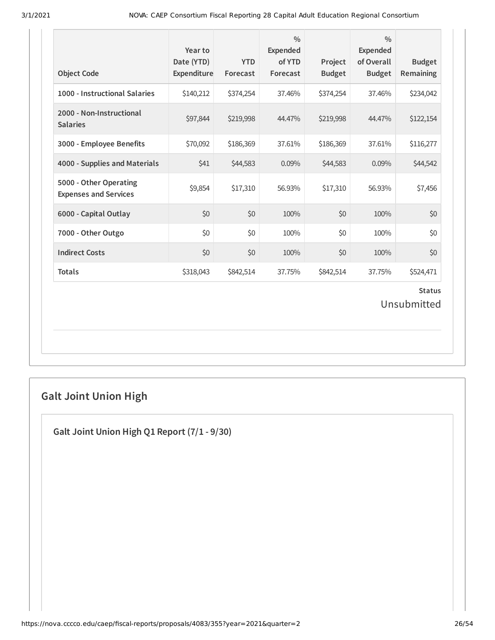| 1000 - Instructional Salaries<br>\$140,212<br>37.46%<br>\$374,254<br>\$374,254<br>37.46%<br>2000 - Non-Instructional<br>\$97,844<br>\$219,998<br>44.47%<br>\$219,998<br>44.47%<br><b>Salaries</b><br>3000 - Employee Benefits<br>\$70,092<br>\$186,369<br>37.61%<br>\$186,369<br>37.61%<br>4000 - Supplies and Materials<br>\$44,583<br>\$41<br>0.09%<br>\$44,583<br>0.09%<br>5000 - Other Operating<br>\$9,854<br>\$17,310<br>\$17,310<br>56.93%<br>56.93%<br><b>Expenses and Services</b><br>6000 - Capital Outlay<br>\$0<br>\$0<br>100%<br>\$0<br>100%<br>\$0<br>\$0<br>\$0<br>100%<br>100%<br>7000 - Other Outgo<br><b>Indirect Costs</b><br>\$0<br>\$0<br>\$0<br>100%<br>100%<br><b>Totals</b><br>\$318,043<br>\$842,514<br>37.75%<br>\$842,514<br>37.75% | <b>Budget</b><br>Remaining   | $\frac{0}{0}$<br><b>Expended</b><br>of Overall<br><b>Budget</b> | Project<br><b>Budget</b> | $\frac{0}{0}$<br><b>Expended</b><br>of YTD<br>Forecast | <b>YTD</b><br>Forecast | Year to<br>Date (YTD)<br>Expenditure | <b>Object Code</b> |
|----------------------------------------------------------------------------------------------------------------------------------------------------------------------------------------------------------------------------------------------------------------------------------------------------------------------------------------------------------------------------------------------------------------------------------------------------------------------------------------------------------------------------------------------------------------------------------------------------------------------------------------------------------------------------------------------------------------------------------------------------------------|------------------------------|-----------------------------------------------------------------|--------------------------|--------------------------------------------------------|------------------------|--------------------------------------|--------------------|
|                                                                                                                                                                                                                                                                                                                                                                                                                                                                                                                                                                                                                                                                                                                                                                | \$234,042                    |                                                                 |                          |                                                        |                        |                                      |                    |
|                                                                                                                                                                                                                                                                                                                                                                                                                                                                                                                                                                                                                                                                                                                                                                | \$122,154                    |                                                                 |                          |                                                        |                        |                                      |                    |
|                                                                                                                                                                                                                                                                                                                                                                                                                                                                                                                                                                                                                                                                                                                                                                | \$116,277                    |                                                                 |                          |                                                        |                        |                                      |                    |
|                                                                                                                                                                                                                                                                                                                                                                                                                                                                                                                                                                                                                                                                                                                                                                | \$44,542                     |                                                                 |                          |                                                        |                        |                                      |                    |
|                                                                                                                                                                                                                                                                                                                                                                                                                                                                                                                                                                                                                                                                                                                                                                | \$7,456                      |                                                                 |                          |                                                        |                        |                                      |                    |
|                                                                                                                                                                                                                                                                                                                                                                                                                                                                                                                                                                                                                                                                                                                                                                | \$0                          |                                                                 |                          |                                                        |                        |                                      |                    |
|                                                                                                                                                                                                                                                                                                                                                                                                                                                                                                                                                                                                                                                                                                                                                                | \$0                          |                                                                 |                          |                                                        |                        |                                      |                    |
|                                                                                                                                                                                                                                                                                                                                                                                                                                                                                                                                                                                                                                                                                                                                                                | \$0                          |                                                                 |                          |                                                        |                        |                                      |                    |
|                                                                                                                                                                                                                                                                                                                                                                                                                                                                                                                                                                                                                                                                                                                                                                | \$524,471                    |                                                                 |                          |                                                        |                        |                                      |                    |
|                                                                                                                                                                                                                                                                                                                                                                                                                                                                                                                                                                                                                                                                                                                                                                | <b>Status</b><br>Unsubmitted |                                                                 |                          |                                                        |                        |                                      |                    |

# **Galt Joint Union High**

**Galt Joint Union High Q1 Report (7/1 - 9/30)**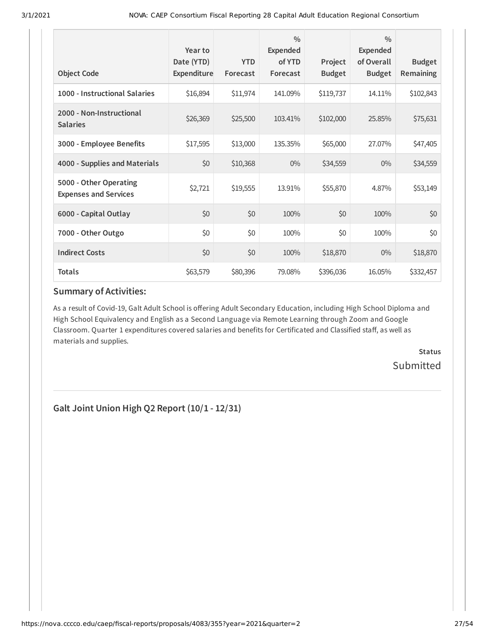| <b>Object Code</b>                                     | Year to<br>Date (YTD)<br>Expenditure | <b>YTD</b><br>Forecast | $\frac{0}{0}$<br>Expended<br>of YTD<br>Forecast | Project<br><b>Budget</b> | $\frac{0}{0}$<br>Expended<br>of Overall<br><b>Budget</b> | <b>Budget</b><br><b>Remaining</b> |
|--------------------------------------------------------|--------------------------------------|------------------------|-------------------------------------------------|--------------------------|----------------------------------------------------------|-----------------------------------|
| 1000 - Instructional Salaries                          | \$16,894                             | \$11,974               | 141.09%                                         | \$119,737                | 14.11%                                                   | \$102,843                         |
| 2000 - Non-Instructional<br><b>Salaries</b>            | \$26,369                             | \$25,500               | 103.41%                                         | \$102,000                | 25.85%                                                   | \$75,631                          |
| 3000 - Employee Benefits                               | \$17,595                             | \$13,000               | 135.35%                                         | \$65,000                 | 27.07%                                                   | \$47,405                          |
| 4000 - Supplies and Materials                          | \$0                                  | \$10,368               | $0\%$                                           | \$34,559                 | $0\%$                                                    | \$34,559                          |
| 5000 - Other Operating<br><b>Expenses and Services</b> | \$2,721                              | \$19,555               | 13.91%                                          | \$55,870                 | 4.87%                                                    | \$53,149                          |
| 6000 - Capital Outlay                                  | \$0                                  | \$0                    | 100%                                            | \$0                      | 100%                                                     | \$0                               |
| 7000 - Other Outgo                                     | \$0                                  | \$0                    | 100%                                            | \$0                      | 100%                                                     | \$0                               |
| <b>Indirect Costs</b>                                  | \$0                                  | \$0                    | 100%                                            | \$18,870                 | $0\%$                                                    | \$18,870                          |
| <b>Totals</b>                                          | \$63,579                             | \$80,396               | 79.08%                                          | \$396,036                | 16.05%                                                   | \$332,457                         |

As a result of Covid-19, Galt Adult School is offering Adult Secondary Education, including High School Diploma and High School Equivalency and English as a Second Language via Remote Learning through Zoom and Google Classroom. Quarter 1 expenditures covered salaries and benefits for Certificated and Classified staff, as well as materials and supplies.

> **Status Submitted**

**Galt Joint Union High Q2 Report (10/1 - 12/31)**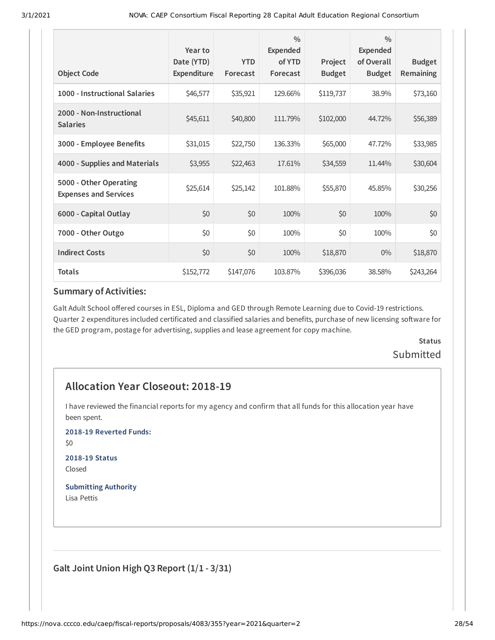| <b>Object Code</b>                                     | Year to<br>Date (YTD)<br>Expenditure | <b>YTD</b><br>Forecast | $\frac{0}{0}$<br><b>Expended</b><br>of YTD<br>Forecast | Project<br><b>Budget</b> | $\frac{0}{0}$<br>Expended<br>of Overall<br><b>Budget</b> | <b>Budget</b><br>Remaining |
|--------------------------------------------------------|--------------------------------------|------------------------|--------------------------------------------------------|--------------------------|----------------------------------------------------------|----------------------------|
| 1000 - Instructional Salaries                          | \$46,577                             | \$35,921               | 129.66%                                                | \$119,737                | 38.9%                                                    | \$73,160                   |
| 2000 - Non-Instructional<br><b>Salaries</b>            | \$45,611                             | \$40,800               | 111.79%                                                | \$102,000                | 44.72%                                                   | \$56,389                   |
| 3000 - Employee Benefits                               | \$31,015                             | \$22,750               | 136.33%                                                | \$65,000                 | 47.72%                                                   | \$33,985                   |
| 4000 - Supplies and Materials                          | \$3,955                              | \$22,463               | 17.61%                                                 | \$34,559                 | 11.44%                                                   | \$30,604                   |
| 5000 - Other Operating<br><b>Expenses and Services</b> | \$25,614                             | \$25,142               | 101.88%                                                | \$55,870                 | 45.85%                                                   | \$30,256                   |
| 6000 - Capital Outlay                                  | \$0                                  | \$0                    | 100%                                                   | \$0                      | 100%                                                     | \$0                        |
| 7000 - Other Outgo                                     | \$0                                  | \$0                    | 100%                                                   | \$0                      | 100%                                                     | \$0                        |
| <b>Indirect Costs</b>                                  | \$0                                  | \$0                    | 100%                                                   | \$18,870                 | $0\%$                                                    | \$18,870                   |
| <b>Totals</b>                                          | \$152,772                            | \$147,076              | 103.87%                                                | \$396,036                | 38.58%                                                   | \$243,264                  |

Galt Adult School offered courses in ESL, Diploma and GED through Remote Learning due to Covid-19 restrictions. Quarter 2 expenditures included certificated and classified salaries and benefits, purchase of new licensing software for the GED program, postage for advertising, supplies and lease agreement for copy machine.

## **Status** Submitted

## **Allocation Year Closeout: 2018-19**

I have reviewed the financial reports for my agency and confirm that all funds for this allocation year have been spent.

**2018-19 Reverted Funds:**

\$0

**2018-19 Status** Closed

**Submitting Authority** Lisa Pettis

**Galt Joint Union High Q3 Report (1/1 - 3/31)**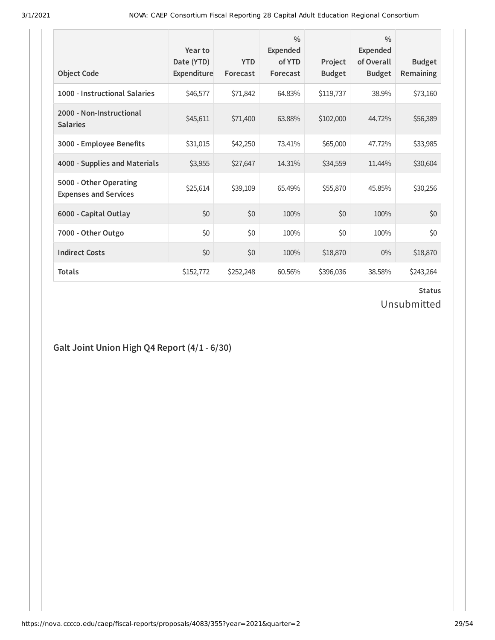| <b>Object Code</b>                                     | Year to<br>Date (YTD)<br>Expenditure | <b>YTD</b><br>Forecast | $\frac{0}{0}$<br><b>Expended</b><br>of YTD<br>Forecast | Project<br><b>Budget</b> | $\frac{0}{0}$<br>Expended<br>of Overall<br><b>Budget</b> | <b>Budget</b><br><b>Remaining</b> |
|--------------------------------------------------------|--------------------------------------|------------------------|--------------------------------------------------------|--------------------------|----------------------------------------------------------|-----------------------------------|
| 1000 - Instructional Salaries                          | \$46,577                             | \$71,842               | 64.83%                                                 | \$119,737                | 38.9%                                                    | \$73,160                          |
| 2000 - Non-Instructional<br><b>Salaries</b>            | \$45,611                             | \$71,400               | 63.88%                                                 | \$102,000                | 44.72%                                                   | \$56,389                          |
| 3000 - Employee Benefits                               | \$31,015                             | \$42,250               | 73.41%                                                 | \$65,000                 | 47.72%                                                   | \$33,985                          |
| 4000 - Supplies and Materials                          | \$3,955                              | \$27,647               | 14.31%                                                 | \$34,559                 | 11.44%                                                   | \$30,604                          |
| 5000 - Other Operating<br><b>Expenses and Services</b> | \$25,614                             | \$39,109               | 65.49%                                                 | \$55,870                 | 45.85%                                                   | \$30,256                          |
| 6000 - Capital Outlay                                  | \$0                                  | \$0                    | 100%                                                   | \$0                      | 100%                                                     | \$0                               |
| 7000 - Other Outgo                                     | \$0                                  | \$0                    | 100%                                                   | \$0                      | 100%                                                     | \$0                               |
| <b>Indirect Costs</b>                                  | \$0                                  | \$0                    | 100%                                                   | \$18,870                 | $0\%$                                                    | \$18,870                          |
| <b>Totals</b>                                          | \$152,772                            | \$252,248              | 60.56%                                                 | \$396,036                | 38.58%                                                   | \$243,264                         |

# **Status**

Unsubmitted

## **Galt Joint Union High Q4 Report (4/1 - 6/30)**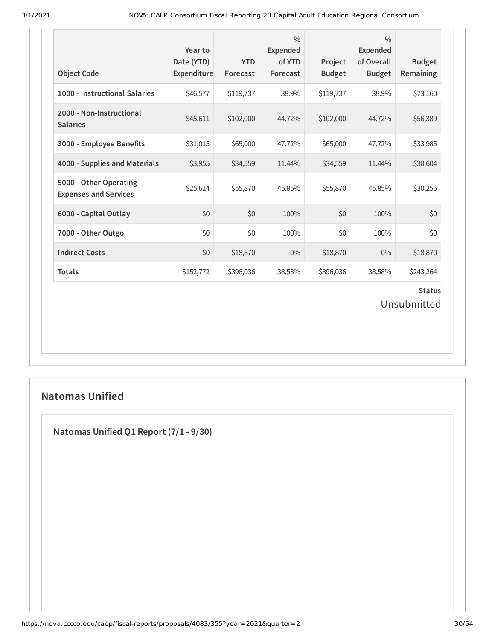| <b>Object Code</b>                                     | Year to<br>Date (YTD)<br>Expenditure | <b>YTD</b><br>Forecast | $\frac{0}{0}$<br>Expended<br>of YTD<br>Forecast | Project<br><b>Budget</b> | $\frac{0}{0}$<br><b>Expended</b><br>of Overall<br><b>Budget</b> | <b>Budget</b><br>Remaining   |
|--------------------------------------------------------|--------------------------------------|------------------------|-------------------------------------------------|--------------------------|-----------------------------------------------------------------|------------------------------|
| 1000 - Instructional Salaries                          | \$46,577                             | \$119,737              | 38.9%                                           | \$119,737                | 38.9%                                                           | \$73,160                     |
| 2000 - Non-Instructional<br><b>Salaries</b>            | \$45,611                             | \$102,000              | 44.72%                                          | \$102,000                | 44.72%                                                          | \$56,389                     |
| 3000 - Employee Benefits                               | \$31,015                             | \$65,000               | 47.72%                                          | \$65,000                 | 47.72%                                                          | \$33,985                     |
| 4000 - Supplies and Materials                          | \$3,955                              | \$34,559               | 11.44%                                          | \$34,559                 | 11.44%                                                          | \$30,604                     |
| 5000 - Other Operating<br><b>Expenses and Services</b> | \$25,614                             | \$55,870               | 45.85%                                          | \$55,870                 | 45.85%                                                          | \$30,256                     |
| 6000 - Capital Outlay                                  | \$0                                  | \$0                    | 100%                                            | \$0                      | 100%                                                            | \$0                          |
| 7000 - Other Outgo                                     | \$0                                  | \$0                    | 100%                                            | \$0                      | 100%                                                            | \$0                          |
| <b>Indirect Costs</b>                                  | \$0                                  | \$18,870               | $0\%$                                           | \$18,870                 | $0\%$                                                           | \$18,870                     |
| <b>Totals</b>                                          | \$152,772                            | \$396,036              | 38.58%                                          | \$396,036                | 38.58%                                                          | \$243,264                    |
|                                                        |                                      |                        |                                                 |                          |                                                                 | <b>Status</b><br>Unsubmitted |

## **Natomas Unified**

**Natomas Unified Q1 Report (7/1 - 9/30)**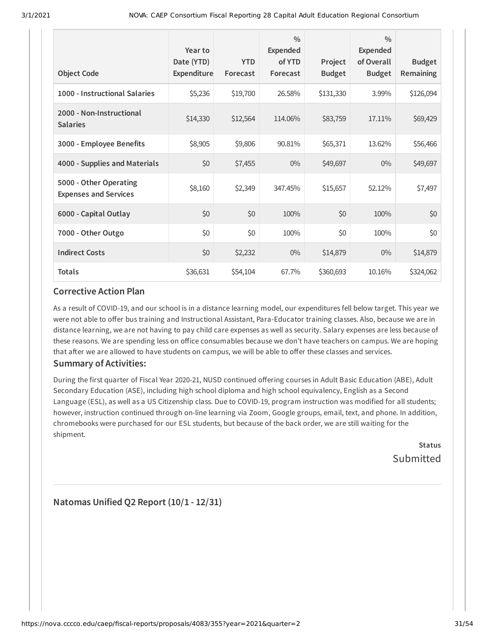| <b>Object Code</b>                                     | Year to<br>Date (YTD)<br>Expenditure | <b>YTD</b><br>Forecast | $\frac{0}{0}$<br><b>Expended</b><br>of YTD<br>Forecast | Project<br><b>Budget</b> | $\frac{0}{0}$<br><b>Expended</b><br>of Overall<br><b>Budget</b> | <b>Budget</b><br><b>Remaining</b> |
|--------------------------------------------------------|--------------------------------------|------------------------|--------------------------------------------------------|--------------------------|-----------------------------------------------------------------|-----------------------------------|
| 1000 - Instructional Salaries                          | \$5,236                              | \$19,700               | 26.58%                                                 | \$131,330                | 3.99%                                                           | \$126,094                         |
| 2000 - Non-Instructional<br><b>Salaries</b>            | \$14,330                             | \$12,564               | 114.06%                                                | \$83,759                 | 17.11%                                                          | \$69,429                          |
| 3000 - Employee Benefits                               | \$8,905                              | \$9,806                | 90.81%                                                 | \$65,371                 | 13.62%                                                          | \$56,466                          |
| 4000 - Supplies and Materials                          | \$0                                  | \$7,455                | $0\%$                                                  | \$49,697                 | $0\%$                                                           | \$49,697                          |
| 5000 - Other Operating<br><b>Expenses and Services</b> | \$8,160                              | \$2,349                | 347.45%                                                | \$15,657                 | 52.12%                                                          | \$7,497                           |
| 6000 - Capital Outlay                                  | \$0                                  | \$0                    | 100%                                                   | \$0                      | 100%                                                            | \$0                               |
| 7000 - Other Outgo                                     | \$0                                  | \$0                    | 100%                                                   | \$0                      | 100%                                                            | \$0                               |
| <b>Indirect Costs</b>                                  | \$0                                  | \$2,232                | $0\%$                                                  | \$14,879                 | $0\%$                                                           | \$14,879                          |
| <b>Totals</b>                                          | \$36,631                             | \$54,104               | 67.7%                                                  | \$360,693                | 10.16%                                                          | \$324,062                         |

As a result of COVID-19, and our school is in a distance learning model, our expenditures fell below target. This year we were not able to offer bus training and Instructional Assistant, Para-Educator training classes. Also, because we are in distance learning, we are not having to pay child care expenses as well as security. Salary expenses are less because of these reasons. We are spending less on office consumables because we don't have teachers on campus. We are hoping that after we are allowed to have students on campus, we will be able to offer these classes and services.

### **Summary of Activities:**

During the first quarter of Fiscal Year 2020-21, NUSD continued offering courses in Adult Basic Education (ABE), Adult Secondary Education (ASE), including high school diploma and high school equivalency, English as a Second Language (ESL), as well as a US Citizenship class. Due to COVID-19, program instruction was modified for all students; however, instruction continued through on-line learning via Zoom, Google groups, email, text, and phone. In addition, chromebooks were purchased for our ESL students, but because of the back order, we are still waiting for the shipment.

**Status** Submitted

**Natomas Unified Q2 Report (10/1 - 12/31)**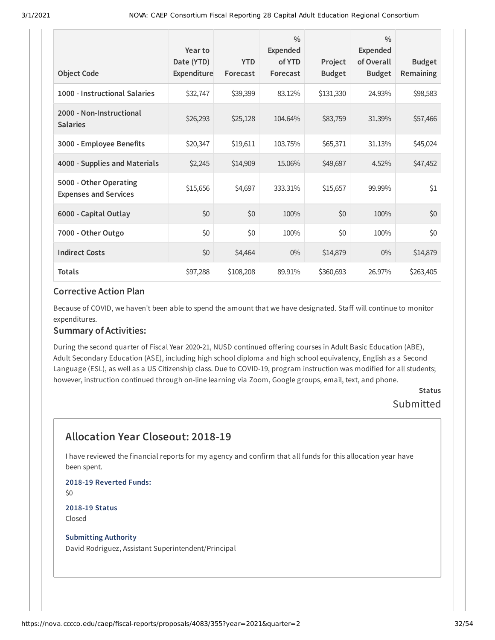| <b>Object Code</b>                                     | Year to<br>Date (YTD)<br>Expenditure | <b>YTD</b><br>Forecast | $\frac{0}{0}$<br>Expended<br>of YTD<br>Forecast | Project<br><b>Budget</b> | $\frac{0}{0}$<br>Expended<br>of Overall<br><b>Budget</b> | <b>Budget</b><br>Remaining |
|--------------------------------------------------------|--------------------------------------|------------------------|-------------------------------------------------|--------------------------|----------------------------------------------------------|----------------------------|
| 1000 - Instructional Salaries                          | \$32,747                             | \$39,399               | 83.12%                                          | \$131,330                | 24.93%                                                   | \$98,583                   |
| 2000 - Non-Instructional<br><b>Salaries</b>            | \$26,293                             | \$25,128               | 104.64%                                         | \$83,759                 | 31.39%                                                   | \$57,466                   |
| 3000 - Employee Benefits                               | \$20,347                             | \$19,611               | 103.75%                                         | \$65,371                 | 31.13%                                                   | \$45,024                   |
| 4000 - Supplies and Materials                          | \$2,245                              | \$14,909               | 15.06%                                          | \$49,697                 | 4.52%                                                    | \$47,452                   |
| 5000 - Other Operating<br><b>Expenses and Services</b> | \$15,656                             | \$4,697                | 333.31%                                         | \$15,657                 | 99.99%                                                   | \$1                        |
| 6000 - Capital Outlay                                  | \$0                                  | \$0                    | 100%                                            | \$0                      | 100%                                                     | \$0                        |
| 7000 - Other Outgo                                     | \$0                                  | \$0                    | 100%                                            | \$0                      | 100%                                                     | \$0                        |
| <b>Indirect Costs</b>                                  | \$0                                  | \$4,464                | $0\%$                                           | \$14,879                 | $0\%$                                                    | \$14,879                   |
| <b>Totals</b>                                          | \$97,288                             | \$108,208              | 89.91%                                          | \$360,693                | 26.97%                                                   | \$263,405                  |

Because of COVID, we haven't been able to spend the amount that we have designated. Staff will continue to monitor expenditures.

### **Summary of Activities:**

During the second quarter of Fiscal Year 2020-21, NUSD continued offering courses in Adult Basic Education (ABE), Adult Secondary Education (ASE), including high school diploma and high school equivalency, English as a Second Language (ESL), as well as a US Citizenship class. Due to COVID-19, program instruction was modified for all students; however, instruction continued through on-line learning via Zoom, Google groups, email, text, and phone.

### **Status Submitted**

## **Allocation Year Closeout: 2018-19**

I have reviewed the financial reports for my agency and confirm that all funds for this allocation year have been spent.

**2018-19 Reverted Funds:** \$0 **2018-19 Status**

Closed

#### **Submitting Authority**

David Rodriguez, Assistant Superintendent/Principal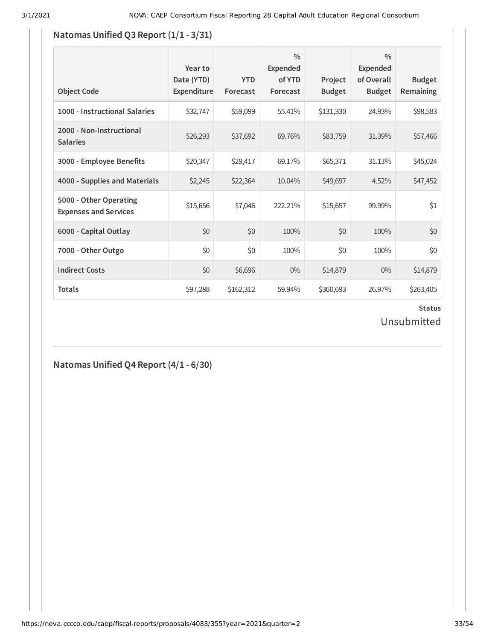## **Natomas Unified Q3 Report**  $(1/1 - 3/31)$

| <b>Object Code</b>                                     | Year to<br>Date (YTD)<br><b>Expenditure</b> | <b>YTD</b><br>Forecast | $\frac{0}{0}$<br><b>Expended</b><br>of YTD<br>Forecast | Project<br><b>Budget</b> | 0/0<br>Expended<br>of Overall<br><b>Budget</b> | <b>Budget</b><br><b>Remaining</b> |
|--------------------------------------------------------|---------------------------------------------|------------------------|--------------------------------------------------------|--------------------------|------------------------------------------------|-----------------------------------|
| 1000 - Instructional Salaries                          | \$32,747                                    | \$59,099               | 55.41%                                                 | \$131,330                | 24.93%                                         | \$98,583                          |
| 2000 - Non-Instructional<br><b>Salaries</b>            | \$26,293                                    | \$37,692               | 69.76%                                                 | \$83,759                 | 31.39%                                         | \$57,466                          |
| 3000 - Employee Benefits                               | \$20,347                                    | \$29,417               | 69.17%                                                 | \$65,371                 | 31.13%                                         | \$45,024                          |
| 4000 - Supplies and Materials                          | \$2,245                                     | \$22,364               | 10.04%                                                 | \$49,697                 | 4.52%                                          | \$47,452                          |
| 5000 - Other Operating<br><b>Expenses and Services</b> | \$15,656                                    | \$7,046                | 222.21%                                                | \$15,657                 | 99.99%                                         | \$1                               |
| 6000 - Capital Outlay                                  | \$0                                         | \$0                    | 100%                                                   | \$0                      | 100%                                           | \$0                               |
| 7000 - Other Outgo                                     | \$0                                         | \$0                    | 100%                                                   | \$0                      | 100%                                           | \$0                               |
| <b>Indirect Costs</b>                                  | \$0                                         | \$6,696                | $0\%$                                                  | \$14,879                 | $0\%$                                          | \$14,879                          |
| <b>Totals</b>                                          | \$97,288                                    | \$162,312              | 59.94%                                                 | \$360,693                | 26.97%                                         | \$263,405                         |

## **Status** Unsubmitted

## **Natomas Unified Q4 Report (4/1 - 6/30)**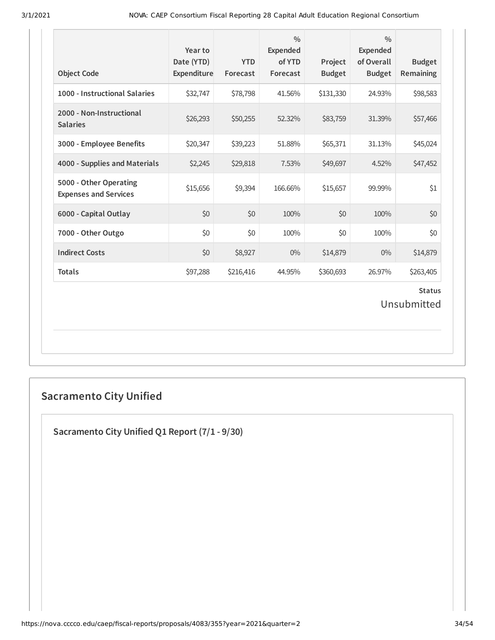| <b>Object Code</b>                                     | Year to<br>Date (YTD)<br>Expenditure | <b>YTD</b><br>Forecast | $\frac{0}{0}$<br><b>Expended</b><br>of YTD<br>Forecast | Project<br><b>Budget</b> | $\frac{0}{0}$<br><b>Expended</b><br>of Overall<br><b>Budget</b> | <b>Budget</b><br>Remaining   |
|--------------------------------------------------------|--------------------------------------|------------------------|--------------------------------------------------------|--------------------------|-----------------------------------------------------------------|------------------------------|
| 1000 - Instructional Salaries                          | \$32,747                             | \$78,798               | 41.56%                                                 | \$131,330                | 24.93%                                                          | \$98,583                     |
| 2000 - Non-Instructional<br><b>Salaries</b>            | \$26,293                             | \$50,255               | 52.32%                                                 | \$83,759                 | 31.39%                                                          | \$57,466                     |
| 3000 - Employee Benefits                               | \$20,347                             | \$39,223               | 51.88%                                                 | \$65,371                 | 31.13%                                                          | \$45,024                     |
| 4000 - Supplies and Materials                          | \$2,245                              | \$29,818               | 7.53%                                                  | \$49,697                 | 4.52%                                                           | \$47,452                     |
| 5000 - Other Operating<br><b>Expenses and Services</b> | \$15,656                             | \$9,394                | 166.66%                                                | \$15,657                 | 99.99%                                                          | \$1                          |
| 6000 - Capital Outlay                                  | \$0                                  | \$0                    | 100%                                                   | \$0                      | 100%                                                            | \$0                          |
| 7000 - Other Outgo                                     | \$0                                  | \$0                    | 100%                                                   | \$0                      | 100%                                                            | \$0                          |
| <b>Indirect Costs</b>                                  | \$0                                  | \$8,927                | $0\%$                                                  | \$14,879                 | 0%                                                              | \$14,879                     |
| <b>Totals</b>                                          | \$97,288                             | \$216,416              | 44.95%                                                 | \$360,693                | 26.97%                                                          | \$263,405                    |
|                                                        |                                      |                        |                                                        |                          |                                                                 | <b>Status</b><br>Unsubmitted |

# **Sacramento City Unified**

**Sacramento City Unified Q1 Report (7/1 - 9/30)**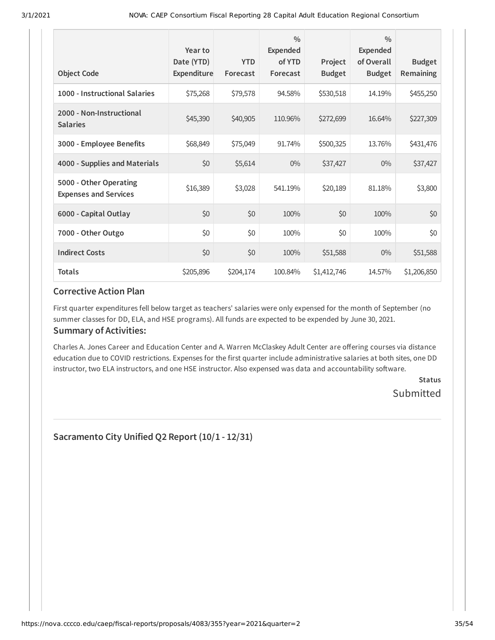| <b>Object Code</b>                                     | Year to<br>Date (YTD)<br>Expenditure | <b>YTD</b><br>Forecast | $\frac{0}{0}$<br><b>Expended</b><br>of YTD<br>Forecast | Project<br><b>Budget</b> | $\frac{0}{0}$<br><b>Expended</b><br>of Overall<br><b>Budget</b> | <b>Budget</b><br>Remaining |
|--------------------------------------------------------|--------------------------------------|------------------------|--------------------------------------------------------|--------------------------|-----------------------------------------------------------------|----------------------------|
| 1000 - Instructional Salaries                          | \$75,268                             | \$79,578               | 94.58%                                                 | \$530,518                | 14.19%                                                          | \$455,250                  |
| 2000 - Non-Instructional<br><b>Salaries</b>            | \$45,390                             | \$40,905               | 110.96%                                                | \$272,699                | 16.64%                                                          | \$227,309                  |
| 3000 - Employee Benefits                               | \$68,849                             | \$75,049               | 91.74%                                                 | \$500,325                | 13.76%                                                          | \$431,476                  |
| 4000 - Supplies and Materials                          | \$0                                  | \$5,614                | $0\%$                                                  | \$37,427                 | $0\%$                                                           | \$37,427                   |
| 5000 - Other Operating<br><b>Expenses and Services</b> | \$16,389                             | \$3,028                | 541.19%                                                | \$20,189                 | 81.18%                                                          | \$3,800                    |
| 6000 - Capital Outlay                                  | \$0                                  | \$0                    | 100%                                                   | \$0                      | 100%                                                            | \$0                        |
| 7000 - Other Outgo                                     | \$0                                  | \$0                    | 100%                                                   | \$0                      | 100%                                                            | \$0                        |
| <b>Indirect Costs</b>                                  | \$0                                  | \$0                    | 100%                                                   | \$51,588                 | $0\%$                                                           | \$51,588                   |
| <b>Totals</b>                                          | \$205,896                            | \$204,174              | 100.84%                                                | \$1,412,746              | 14.57%                                                          | \$1,206,850                |

First quarter expenditures fell below target as teachers' salaries were only expensed for the month of September (no summer classes for DD, ELA, and HSE programs). All funds are expected to be expended by June 30, 2021.

### **Summary of Activities:**

Charles A. Jones Career and Education Center and A. Warren McClaskey Adult Center are offering courses via distance education due to COVID restrictions. Expenses for the first quarter include administrative salaries at both sites, one DD instructor, two ELA instructors, and one HSE instructor. Also expensed was data and accountability software.

> **Status Submitted**

**Sacramento City Unified Q2 Report (10/1 - 12/31)**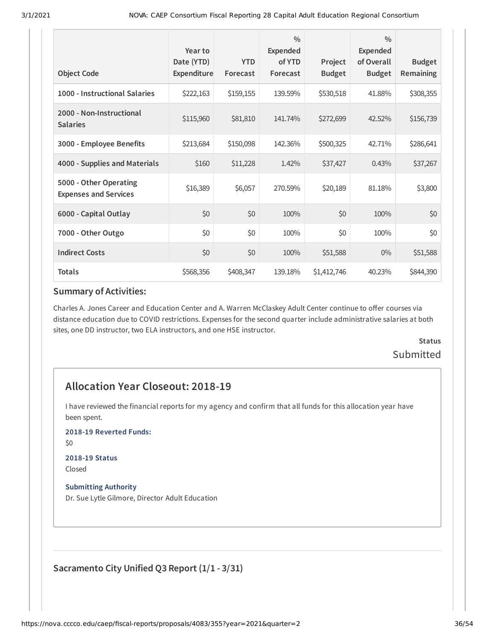| <b>Object Code</b>                                     | Year to<br>Date (YTD)<br>Expenditure | <b>YTD</b><br>Forecast | $\frac{0}{0}$<br>Expended<br>of YTD<br>Forecast | Project<br><b>Budget</b> | $\frac{0}{0}$<br><b>Expended</b><br>of Overall<br><b>Budget</b> | <b>Budget</b><br>Remaining |
|--------------------------------------------------------|--------------------------------------|------------------------|-------------------------------------------------|--------------------------|-----------------------------------------------------------------|----------------------------|
| 1000 - Instructional Salaries                          | \$222,163                            | \$159,155              | 139.59%                                         | \$530,518                | 41.88%                                                          | \$308,355                  |
| 2000 - Non-Instructional<br><b>Salaries</b>            | \$115,960                            | \$81,810               | 141.74%                                         | \$272,699                | 42.52%                                                          | \$156,739                  |
| 3000 - Employee Benefits                               | \$213,684                            | \$150,098              | 142.36%                                         | \$500,325                | 42.71%                                                          | \$286,641                  |
| 4000 - Supplies and Materials                          | \$160                                | \$11,228               | 1.42%                                           | \$37,427                 | 0.43%                                                           | \$37,267                   |
| 5000 - Other Operating<br><b>Expenses and Services</b> | \$16,389                             | \$6,057                | 270.59%                                         | \$20,189                 | 81.18%                                                          | \$3,800                    |
| 6000 - Capital Outlay                                  | \$0                                  | \$0                    | 100%                                            | \$0                      | 100%                                                            | \$0                        |
| 7000 - Other Outgo                                     | \$0                                  | \$0                    | 100%                                            | \$0                      | 100%                                                            | \$0                        |
| <b>Indirect Costs</b>                                  | \$0                                  | \$0                    | 100%                                            | \$51,588                 | $0\%$                                                           | \$51,588                   |
| <b>Totals</b>                                          | \$568,356                            | \$408,347              | 139.18%                                         | \$1,412,746              | 40.23%                                                          | \$844,390                  |

Charles A. Jones Career and Education Center and A. Warren McClaskey Adult Center continue to offer courses via distance education due to COVID restrictions. Expenses for the second quarter include administrative salaries at both sites, one DD instructor, two ELA instructors, and one HSE instructor.

## **Status** Submitted

## **Allocation Year Closeout: 2018-19**

I have reviewed the financial reports for my agency and confirm that all funds for this allocation year have been spent.

**2018-19 Reverted Funds:**

\$0

#### **2018-19 Status** Closed

**Submitting Authority** Dr. Sue Lytle Gilmore, Director Adult Education

### **Sacramento City Unified Q3 Report (1/1 - 3/31)**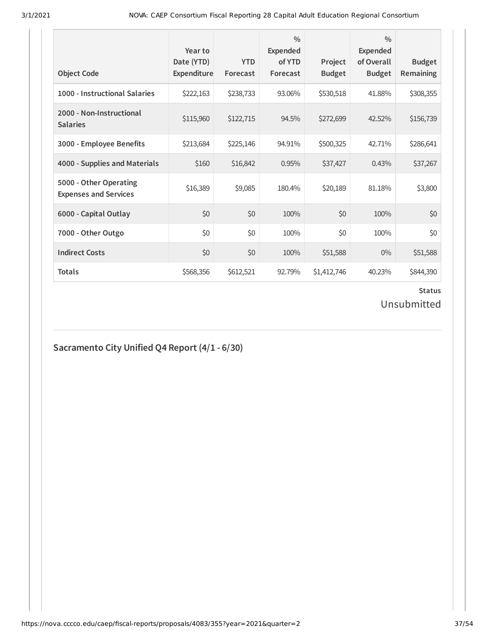| <b>Object Code</b>                                     | Year to<br>Date (YTD)<br>Expenditure | <b>YTD</b><br>Forecast | $\frac{0}{0}$<br>Expended<br>of YTD<br>Forecast | Project<br><b>Budget</b> | $\frac{0}{0}$<br>Expended<br>of Overall<br><b>Budget</b> | <b>Budget</b><br><b>Remaining</b> |
|--------------------------------------------------------|--------------------------------------|------------------------|-------------------------------------------------|--------------------------|----------------------------------------------------------|-----------------------------------|
| 1000 - Instructional Salaries                          | \$222,163                            | \$238,733              | 93.06%                                          | \$530,518                | 41.88%                                                   | \$308,355                         |
| 2000 - Non-Instructional<br><b>Salaries</b>            | \$115,960                            | \$122,715              | 94.5%                                           | \$272,699                | 42.52%                                                   | \$156,739                         |
| 3000 - Employee Benefits                               | \$213,684                            | \$225,146              | 94.91%                                          | \$500,325                | 42.71%                                                   | \$286,641                         |
| 4000 - Supplies and Materials                          | \$160                                | \$16,842               | 0.95%                                           | \$37,427                 | 0.43%                                                    | \$37,267                          |
| 5000 - Other Operating<br><b>Expenses and Services</b> | \$16,389                             | \$9,085                | 180.4%                                          | \$20,189                 | 81.18%                                                   | \$3,800                           |
| 6000 - Capital Outlay                                  | \$0                                  | \$0                    | 100%                                            | \$0                      | 100%                                                     | \$0                               |
| 7000 - Other Outgo                                     | \$0                                  | \$0                    | 100%                                            | \$0                      | 100%                                                     | \$0                               |
| <b>Indirect Costs</b>                                  | \$0                                  | \$0                    | 100%                                            | \$51,588                 | $0\%$                                                    | \$51,588                          |
| <b>Totals</b>                                          | \$568,356                            | \$612,521              | 92.79%                                          | \$1,412,746              | 40.23%                                                   | \$844,390                         |

### **Status**

Unsubmitted

## **Sacramento City Unified Q4 Report (4/1 - 6/30)**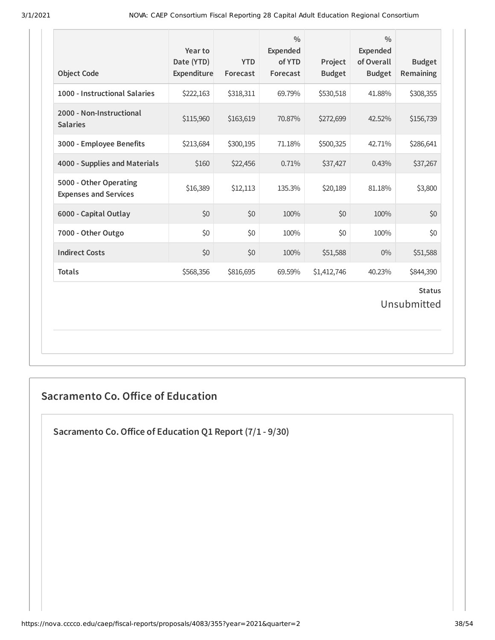| <b>Object Code</b>                                     | Year to<br>Date (YTD)<br>Expenditure | <b>YTD</b><br>Forecast | $\frac{0}{0}$<br><b>Expended</b><br>of YTD<br>Forecast | Project<br><b>Budget</b> | $\frac{0}{0}$<br><b>Expended</b><br>of Overall<br><b>Budget</b> | <b>Budget</b><br><b>Remaining</b> |
|--------------------------------------------------------|--------------------------------------|------------------------|--------------------------------------------------------|--------------------------|-----------------------------------------------------------------|-----------------------------------|
| 1000 - Instructional Salaries                          | \$222,163                            | \$318,311              | 69.79%                                                 | \$530,518                | 41.88%                                                          | \$308,355                         |
| 2000 - Non-Instructional<br><b>Salaries</b>            | \$115,960                            | \$163,619              | 70.87%                                                 | \$272,699                | 42.52%                                                          | \$156,739                         |
| 3000 - Employee Benefits                               | \$213,684                            | \$300,195              | 71.18%                                                 | \$500,325                | 42.71%                                                          | \$286,641                         |
| 4000 - Supplies and Materials                          | \$160                                | \$22,456               | 0.71%                                                  | \$37,427                 | 0.43%                                                           | \$37,267                          |
| 5000 - Other Operating<br><b>Expenses and Services</b> | \$16,389                             | \$12,113               | 135.3%                                                 | \$20,189                 | 81.18%                                                          | \$3,800                           |
| 6000 - Capital Outlay                                  | \$0                                  | \$0                    | 100%                                                   | \$0                      | 100%                                                            | \$0                               |
| 7000 - Other Outgo                                     | \$0                                  | \$0                    | 100%                                                   | \$0                      | 100%                                                            | \$0                               |
| <b>Indirect Costs</b>                                  | \$0                                  | \$0                    | 100%                                                   | \$51,588                 | 0%                                                              | \$51,588                          |
| <b>Totals</b>                                          | \$568,356                            | \$816,695              | 69.59%                                                 | \$1,412,746              | 40.23%                                                          | \$844,390                         |
|                                                        |                                      |                        |                                                        |                          |                                                                 | <b>Status</b><br>Unsubmitted      |

## **Sacramento Co. Office of Education**

**Sacramento Co.Oice of Education Q1 Report (7/1 - 9/30)**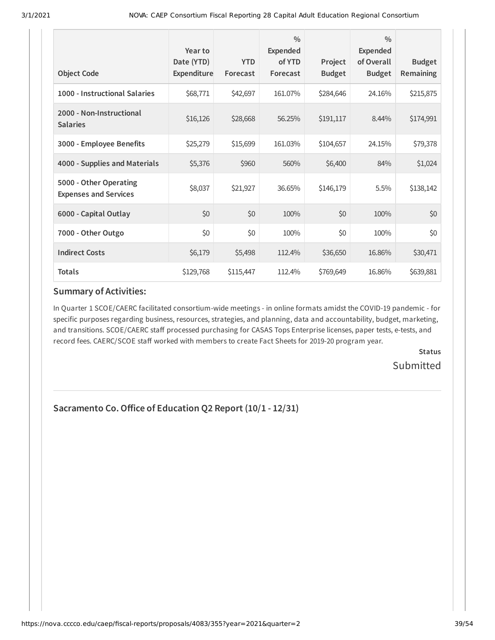| <b>Object Code</b>                                     | Year to<br>Date (YTD)<br>Expenditure | <b>YTD</b><br>Forecast | $\frac{0}{0}$<br>Expended<br>of YTD<br>Forecast | Project<br><b>Budget</b> | $\frac{0}{0}$<br>Expended<br>of Overall<br><b>Budget</b> | <b>Budget</b><br><b>Remaining</b> |
|--------------------------------------------------------|--------------------------------------|------------------------|-------------------------------------------------|--------------------------|----------------------------------------------------------|-----------------------------------|
| 1000 - Instructional Salaries                          | \$68,771                             | \$42,697               | 161.07%                                         | \$284,646                | 24.16%                                                   | \$215,875                         |
| 2000 - Non-Instructional<br><b>Salaries</b>            | \$16,126                             | \$28,668               | 56.25%                                          | \$191,117                | 8.44%                                                    | \$174,991                         |
| 3000 - Employee Benefits                               | \$25,279                             | \$15,699               | 161.03%                                         | \$104,657                | 24.15%                                                   | \$79,378                          |
| 4000 - Supplies and Materials                          | \$5,376                              | \$960                  | 560%                                            | \$6,400                  | 84%                                                      | \$1,024                           |
| 5000 - Other Operating<br><b>Expenses and Services</b> | \$8,037                              | \$21,927               | 36.65%                                          | \$146,179                | 5.5%                                                     | \$138,142                         |
| 6000 - Capital Outlay                                  | \$0                                  | \$0                    | 100%                                            | \$0                      | 100%                                                     | \$0                               |
| 7000 - Other Outgo                                     | \$0                                  | \$0                    | 100%                                            | \$0                      | 100%                                                     | \$0                               |
| <b>Indirect Costs</b>                                  | \$6,179                              | \$5,498                | 112.4%                                          | \$36,650                 | 16.86%                                                   | \$30,471                          |
| <b>Totals</b>                                          | \$129,768                            | \$115,447              | 112.4%                                          | \$769,649                | 16.86%                                                   | \$639,881                         |

In Quarter 1 SCOE/CAERC facilitated consortium-wide meetings - in online formats amidst the COVID-19 pandemic - for specific purposes regarding business, resources, strategies, and planning, data and accountability, budget, marketing, and transitions. SCOE/CAERC staff processed purchasing for CASAS Tops Enterprise licenses, paper tests, e-tests, and record fees. CAERC/SCOE staff worked with members to create Fact Sheets for 2019-20 program year.

> **Status Submitted**

## **Sacramento Co.Oice of Education Q2 Report (10/1 - 12/31)**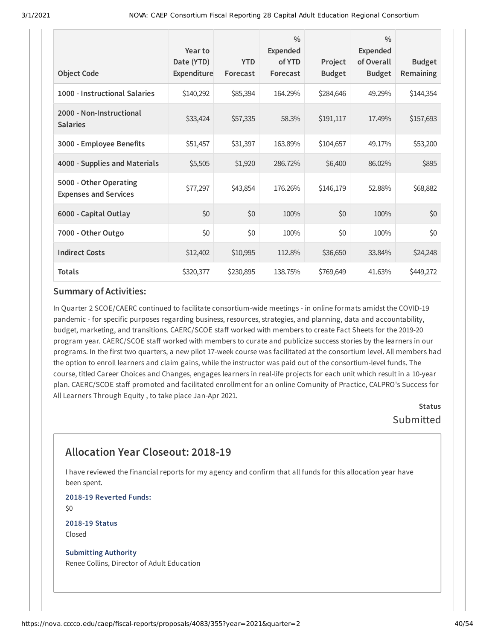| <b>Object Code</b>                                     | Year to<br>Date (YTD)<br>Expenditure | <b>YTD</b><br>Forecast | $\frac{0}{0}$<br><b>Expended</b><br>of YTD<br>Forecast | Project<br><b>Budget</b> | $\frac{0}{0}$<br><b>Expended</b><br>of Overall<br><b>Budget</b> | <b>Budget</b><br><b>Remaining</b> |
|--------------------------------------------------------|--------------------------------------|------------------------|--------------------------------------------------------|--------------------------|-----------------------------------------------------------------|-----------------------------------|
| 1000 - Instructional Salaries                          | \$140,292                            | \$85,394               | 164.29%                                                | \$284,646                | 49.29%                                                          | \$144,354                         |
| 2000 - Non-Instructional<br><b>Salaries</b>            | \$33,424                             | \$57,335               | 58.3%                                                  | \$191,117                | 17.49%                                                          | \$157,693                         |
| 3000 - Employee Benefits                               | \$51,457                             | \$31,397               | 163.89%                                                | \$104,657                | 49.17%                                                          | \$53,200                          |
| 4000 - Supplies and Materials                          | \$5,505                              | \$1,920                | 286.72%                                                | \$6,400                  | 86.02%                                                          | \$895                             |
| 5000 - Other Operating<br><b>Expenses and Services</b> | \$77,297                             | \$43,854               | 176.26%                                                | \$146,179                | 52.88%                                                          | \$68,882                          |
| 6000 - Capital Outlay                                  | \$0                                  | \$0                    | 100%                                                   | \$0                      | 100%                                                            | \$0                               |
| 7000 - Other Outgo                                     | \$0                                  | \$0                    | 100%                                                   | \$0                      | 100%                                                            | \$0                               |
| <b>Indirect Costs</b>                                  | \$12,402                             | \$10,995               | 112.8%                                                 | \$36,650                 | 33.84%                                                          | \$24,248                          |
| <b>Totals</b>                                          | \$320,377                            | \$230,895              | 138.75%                                                | \$769,649                | 41.63%                                                          | \$449,272                         |

In Quarter 2 SCOE/CAERC continued to facilitate consortium-wide meetings - in online formats amidst the COVID-19 pandemic - for specific purposes regarding business, resources, strategies, and planning, data and accountability, budget, marketing, and transitions. CAERC/SCOE staff worked with members to create Fact Sheets for the 2019-20 program year. CAERC/SCOE staff worked with members to curate and publicize success stories by the learners in our programs. In the first two quarters, a new pilot 17-week course was facilitated at the consortium level. All members had the option to enroll learners and claim gains, while the instructor was paid out of the consortium-level funds. The course, titled Career Choices and Changes, engages learners in real-life projects for each unit which result in a 10-year plan. CAERC/SCOE staff promoted and facilitated enrollment for an online Comunity of Practice, CALPRO's Success for All Learners Through Equity , to take place Jan-Apr 2021.

**Status** Submitted

## **Allocation Year Closeout: 2018-19**

I have reviewed the financial reports for my agency and confirm that all funds for this allocation year have been spent.

**2018-19 Reverted Funds:** \$0

**2018-19 Status** Closed

**Submitting Authority** Renee Collins, Director of Adult Education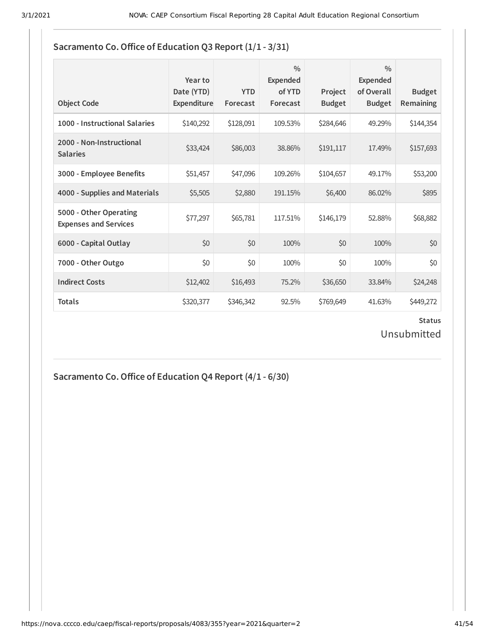### **Sacramento Co.Oice of Education Q3 Report (1/1 - 3/31)**

| <b>Object Code</b>                                     | Year to<br>Date (YTD)<br>Expenditure | <b>YTD</b><br>Forecast | $\frac{0}{0}$<br>Expended<br>of YTD<br>Forecast | Project<br><b>Budget</b> | $\frac{0}{0}$<br><b>Expended</b><br>of Overall<br><b>Budget</b> | <b>Budget</b><br><b>Remaining</b> |
|--------------------------------------------------------|--------------------------------------|------------------------|-------------------------------------------------|--------------------------|-----------------------------------------------------------------|-----------------------------------|
| 1000 - Instructional Salaries                          | \$140,292                            | \$128,091              | 109.53%                                         | \$284,646                | 49.29%                                                          | \$144,354                         |
| 2000 - Non-Instructional<br><b>Salaries</b>            | \$33,424                             | \$86,003               | 38.86%                                          | \$191,117                | 17.49%                                                          | \$157,693                         |
| 3000 - Employee Benefits                               | \$51,457                             | \$47,096               | 109.26%                                         | \$104,657                | 49.17%                                                          | \$53,200                          |
| 4000 - Supplies and Materials                          | \$5,505                              | \$2,880                | 191.15%                                         | \$6,400                  | 86.02%                                                          | \$895                             |
| 5000 - Other Operating<br><b>Expenses and Services</b> | \$77,297                             | \$65,781               | 117.51%                                         | \$146,179                | 52.88%                                                          | \$68,882                          |
| 6000 - Capital Outlay                                  | \$0                                  | \$0                    | 100%                                            | \$0                      | 100%                                                            | \$0                               |
| 7000 - Other Outgo                                     | \$0                                  | \$0                    | 100%                                            | \$0                      | 100%                                                            | \$0                               |
| <b>Indirect Costs</b>                                  | \$12,402                             | \$16,493               | 75.2%                                           | \$36,650                 | 33.84%                                                          | \$24,248                          |
| <b>Totals</b>                                          | \$320,377                            | \$346,342              | 92.5%                                           | \$769,649                | 41.63%                                                          | \$449,272                         |

### **Status** Unsubmitted

**Sacramento Co.Oice of Education Q4 Report (4/1 - 6/30)**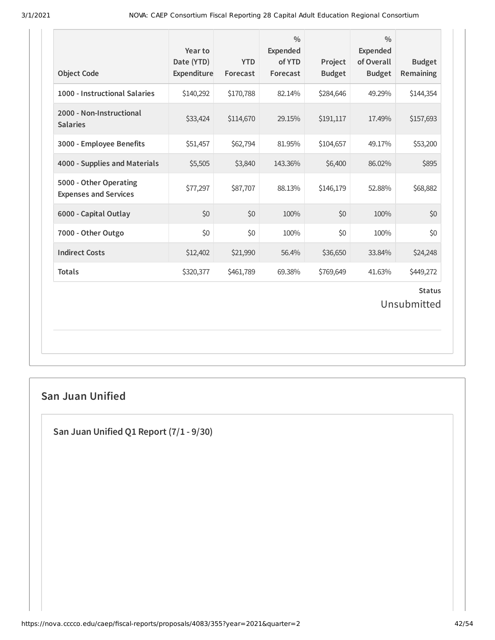| <b>Object Code</b>                                     | Year to<br>Date (YTD)<br>Expenditure | <b>YTD</b><br>Forecast | $\frac{0}{0}$<br>Expended<br>of YTD<br>Forecast | Project<br><b>Budget</b> | $\frac{0}{0}$<br><b>Expended</b><br>of Overall<br><b>Budget</b> | <b>Budget</b><br>Remaining   |
|--------------------------------------------------------|--------------------------------------|------------------------|-------------------------------------------------|--------------------------|-----------------------------------------------------------------|------------------------------|
| 1000 - Instructional Salaries                          | \$140,292                            | \$170,788              | 82.14%                                          | \$284,646                | 49.29%                                                          | \$144,354                    |
| 2000 - Non-Instructional<br><b>Salaries</b>            | \$33,424                             | \$114,670              | 29.15%                                          | \$191,117                | 17.49%                                                          | \$157,693                    |
| 3000 - Employee Benefits                               | \$51,457                             | \$62,794               | 81.95%                                          | \$104,657                | 49.17%                                                          | \$53,200                     |
| 4000 - Supplies and Materials                          | \$5,505                              | \$3,840                | 143.36%                                         | \$6,400                  | 86.02%                                                          | \$895                        |
| 5000 - Other Operating<br><b>Expenses and Services</b> | \$77,297                             | \$87,707               | 88.13%                                          | \$146,179                | 52.88%                                                          | \$68,882                     |
| 6000 - Capital Outlay                                  | \$0                                  | \$0                    | 100%                                            | \$0                      | 100%                                                            | \$0                          |
| 7000 - Other Outgo                                     | \$0                                  | \$0                    | 100%                                            | \$0                      | 100%                                                            | \$0                          |
| <b>Indirect Costs</b>                                  | \$12,402                             | \$21,990               | 56.4%                                           | \$36,650                 | 33.84%                                                          | \$24,248                     |
| <b>Totals</b>                                          | \$320,377                            | \$461,789              | 69.38%                                          | \$769,649                | 41.63%                                                          | \$449,272                    |
|                                                        |                                      |                        |                                                 |                          |                                                                 | <b>Status</b><br>Unsubmitted |

## **San Juan Unified**

**San Juan Unified Q1 Report (7/1 - 9/30)**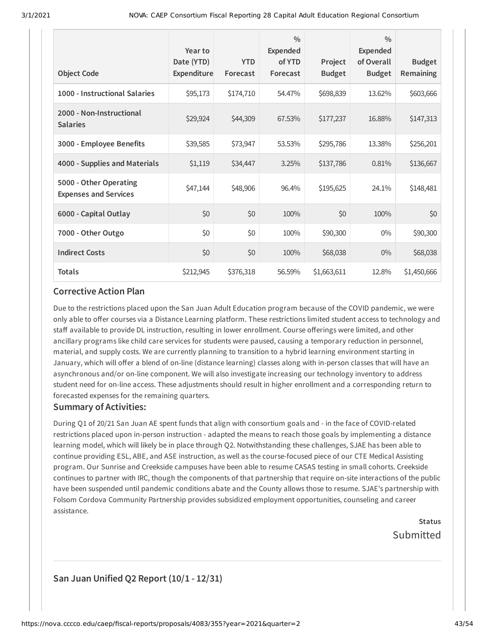| <b>Object Code</b>                                     | Year to<br>Date (YTD)<br><b>Expenditure</b> | <b>YTD</b><br>Forecast | $\frac{0}{0}$<br><b>Expended</b><br>of YTD<br>Forecast | Project<br><b>Budget</b> | $\frac{0}{0}$<br><b>Expended</b><br>of Overall<br><b>Budget</b> | <b>Budget</b><br>Remaining |
|--------------------------------------------------------|---------------------------------------------|------------------------|--------------------------------------------------------|--------------------------|-----------------------------------------------------------------|----------------------------|
| 1000 - Instructional Salaries                          | \$95,173                                    | \$174,710              | 54.47%                                                 | \$698,839                | 13.62%                                                          | \$603,666                  |
| 2000 - Non-Instructional<br><b>Salaries</b>            | \$29,924                                    | \$44,309               | 67.53%                                                 | \$177,237                | 16.88%                                                          | \$147,313                  |
| 3000 - Employee Benefits                               | \$39,585                                    | \$73,947               | 53.53%                                                 | \$295,786                | 13.38%                                                          | \$256,201                  |
| 4000 - Supplies and Materials                          | \$1,119                                     | \$34,447               | 3.25%                                                  | \$137,786                | 0.81%                                                           | \$136,667                  |
| 5000 - Other Operating<br><b>Expenses and Services</b> | \$47,144                                    | \$48,906               | 96.4%                                                  | \$195,625                | 24.1%                                                           | \$148,481                  |
| 6000 - Capital Outlay                                  | \$0                                         | \$0                    | 100%                                                   | \$0                      | 100%                                                            | \$0                        |
| 7000 - Other Outgo                                     | \$0                                         | \$0                    | 100%                                                   | \$90,300                 | $0\%$                                                           | \$90,300                   |
| <b>Indirect Costs</b>                                  | \$0                                         | \$0                    | 100%                                                   | \$68,038                 | $0\%$                                                           | \$68,038                   |
| <b>Totals</b>                                          | \$212,945                                   | \$376,318              | 56.59%                                                 | \$1,663,611              | 12.8%                                                           | \$1,450,666                |

Due to the restrictions placed upon the San Juan Adult Education program because of the COVID pandemic, we were only able to offer courses via a Distance Learning platform. These restrictions limited student access to technology and staff available to provide DL instruction, resulting in lower enrollment. Course offerings were limited, and other ancillary programs like child care services for students were paused, causing a temporary reduction in personnel, material, and supply costs. We are currently planning to transition to a hybrid learning environment starting in January, which will offer a blend of on-line (distance learning) classes along with in-person classes that will have an asynchronous and/or on-line component. We will also investigate increasing our technology inventory to address student need for on-line access. These adjustments should result in higher enrollment and a corresponding return to forecasted expenses for the remaining quarters.

### **Summary of Activities:**

During Q1 of 20/21 San Juan AE spent funds that align with consortium goals and - in the face of COVID-related restrictions placed upon in-person instruction - adapted the means to reach those goals by implementing a distance learning model, which will likely be in place through Q2. Notwithstanding these challenges, SJAE has been able to continue providing ESL, ABE, and ASE instruction, as well as the course-focused piece of our CTE Medical Assisting program. Our Sunrise and Creekside campuses have been able to resume CASAS testing in small cohorts. Creekside continues to partner with IRC, though the components of that partnership that require on-site interactions of the public have been suspended until pandemic conditions abate and the County allows those to resume. SJAE's partnership with Folsom Cordova Community Partnership provides subsidized employment opportunities, counseling and career assistance.

> **Status** Submitted

## **San Juan Unified Q2 Report (10/1 - 12/31)**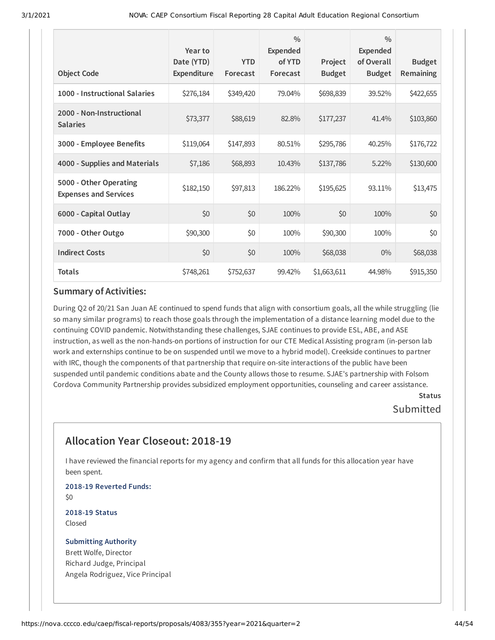| <b>Object Code</b>                                     | Year to<br>Date (YTD)<br>Expenditure | <b>YTD</b><br>Forecast | $\frac{0}{0}$<br><b>Expended</b><br>of YTD<br>Forecast | Project<br><b>Budget</b> | $\frac{0}{0}$<br>Expended<br>of Overall<br><b>Budget</b> | <b>Budget</b><br>Remaining |
|--------------------------------------------------------|--------------------------------------|------------------------|--------------------------------------------------------|--------------------------|----------------------------------------------------------|----------------------------|
| 1000 - Instructional Salaries                          | \$276,184                            | \$349,420              | 79.04%                                                 | \$698,839                | 39.52%                                                   | \$422,655                  |
| 2000 - Non-Instructional<br><b>Salaries</b>            | \$73,377                             | \$88,619               | 82.8%                                                  | \$177,237                | 41.4%                                                    | \$103,860                  |
| 3000 - Employee Benefits                               | \$119,064                            | \$147,893              | 80.51%                                                 | \$295,786                | 40.25%                                                   | \$176,722                  |
| 4000 - Supplies and Materials                          | \$7,186                              | \$68,893               | 10.43%                                                 | \$137,786                | 5.22%                                                    | \$130,600                  |
| 5000 - Other Operating<br><b>Expenses and Services</b> | \$182,150                            | \$97,813               | 186.22%                                                | \$195,625                | 93.11%                                                   | \$13,475                   |
| 6000 - Capital Outlay                                  | \$0                                  | \$0                    | 100%                                                   | \$0                      | 100%                                                     | \$0                        |
| 7000 - Other Outgo                                     | \$90,300                             | \$0                    | 100%                                                   | \$90,300                 | 100%                                                     | \$0                        |
| <b>Indirect Costs</b>                                  | \$0                                  | \$0                    | 100%                                                   | \$68,038                 | $0\%$                                                    | \$68,038                   |
| <b>Totals</b>                                          | \$748,261                            | \$752,637              | 99.42%                                                 | \$1,663,611              | 44.98%                                                   | \$915,350                  |

During Q2 of 20/21 San Juan AE continued to spend funds that align with consortium goals, all the while struggling (lie so many similar programs) to reach those goals through the implementation of a distance learning model due to the continuing COVID pandemic. Notwithstanding these challenges, SJAE continues to provide ESL, ABE, and ASE instruction, as well as the non-hands-on portions of instruction for our CTE Medical Assisting program (in-person lab work and externships continue to be on suspended until we move to a hybrid model). Creekside continues to partner with IRC, though the components of that partnership that require on-site interactions of the public have been suspended until pandemic conditions abate and the County allows those to resume. SJAE's partnership with Folsom Cordova Community Partnership provides subsidized employment opportunities, counseling and career assistance.

### **Status Submitted**

## **Allocation Year Closeout: 2018-19**

I have reviewed the financial reports for my agency and confirm that all funds for this allocation year have been spent.

**2018-19 Reverted Funds:** \$0

**2018-19 Status** Closed

## **Submitting Authority** Brett Wolfe, Director

Richard Judge, Principal Angela Rodriguez, Vice Principal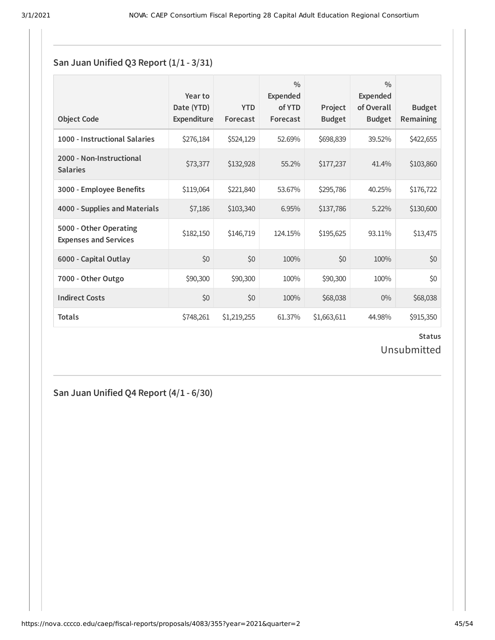### **San Juan Unified Q3 Report (1/1 - 3/31)**

| <b>Object Code</b>                                     | Year to<br>Date (YTD)<br>Expenditure | <b>YTD</b><br>Forecast | $\frac{0}{0}$<br><b>Expended</b><br>of YTD<br>Forecast | Project<br><b>Budget</b> | $\frac{0}{0}$<br><b>Expended</b><br>of Overall<br><b>Budget</b> | <b>Budget</b><br><b>Remaining</b> |
|--------------------------------------------------------|--------------------------------------|------------------------|--------------------------------------------------------|--------------------------|-----------------------------------------------------------------|-----------------------------------|
| 1000 - Instructional Salaries                          | \$276,184                            | \$524,129              | 52.69%                                                 | \$698,839                | 39.52%                                                          | \$422,655                         |
| 2000 - Non-Instructional<br><b>Salaries</b>            | \$73,377                             | \$132,928              | 55.2%                                                  | \$177,237                | 41.4%                                                           | \$103,860                         |
| 3000 - Employee Benefits                               | \$119,064                            | \$221,840              | 53.67%                                                 | \$295,786                | 40.25%                                                          | \$176,722                         |
| 4000 - Supplies and Materials                          | \$7,186                              | \$103,340              | 6.95%                                                  | \$137,786                | 5.22%                                                           | \$130,600                         |
| 5000 - Other Operating<br><b>Expenses and Services</b> | \$182,150                            | \$146,719              | 124.15%                                                | \$195,625                | 93.11%                                                          | \$13,475                          |
| 6000 - Capital Outlay                                  | \$0                                  | \$0                    | 100%                                                   | \$0                      | 100%                                                            | \$0                               |
| 7000 - Other Outgo                                     | \$90,300                             | \$90,300               | 100%                                                   | \$90,300                 | 100%                                                            | \$0                               |
| <b>Indirect Costs</b>                                  | \$0                                  | \$0                    | 100%                                                   | \$68,038                 | $0\%$                                                           | \$68,038                          |
| <b>Totals</b>                                          | \$748,261                            | \$1,219,255            | 61.37%                                                 | \$1,663,611              | 44.98%                                                          | \$915,350                         |

**Status** Unsubmitted

**San Juan Unified Q4 Report (4/1 - 6/30)**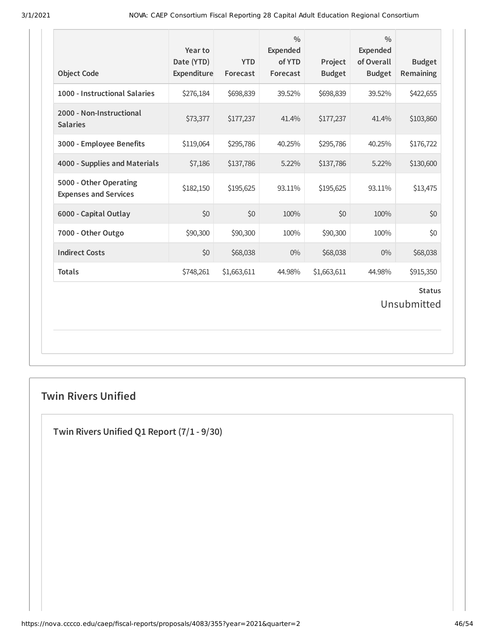| <b>Object Code</b>                                     | Year to<br>Date (YTD)<br>Expenditure | <b>YTD</b><br>Forecast | $\frac{0}{0}$<br>Expended<br>of YTD<br>Forecast | Project<br><b>Budget</b> | $\frac{0}{0}$<br><b>Expended</b><br>of Overall<br><b>Budget</b> | <b>Budget</b><br>Remaining |  |  |
|--------------------------------------------------------|--------------------------------------|------------------------|-------------------------------------------------|--------------------------|-----------------------------------------------------------------|----------------------------|--|--|
| 1000 - Instructional Salaries                          | \$276,184                            | \$698,839              | 39.52%                                          | \$698,839                | 39.52%                                                          | \$422,655                  |  |  |
| 2000 - Non-Instructional<br><b>Salaries</b>            | \$73,377                             | \$177,237              | 41.4%                                           | \$177,237                | 41.4%                                                           | \$103,860                  |  |  |
| 3000 - Employee Benefits                               | \$119,064                            | \$295,786              | 40.25%                                          | \$295,786                | 40.25%                                                          | \$176,722                  |  |  |
| 4000 - Supplies and Materials                          | \$7,186                              | \$137,786              | 5.22%                                           | \$137,786                | 5.22%                                                           | \$130,600                  |  |  |
| 5000 - Other Operating<br><b>Expenses and Services</b> | \$182,150                            | \$195,625              | 93.11%                                          | \$195,625                | 93.11%                                                          | \$13,475                   |  |  |
| 6000 - Capital Outlay                                  | \$0                                  | \$0                    | 100%                                            | \$0                      | 100%                                                            | \$0                        |  |  |
| 7000 - Other Outgo                                     | \$90,300                             | \$90,300               | 100%                                            | \$90,300                 | 100%                                                            | \$0                        |  |  |
| <b>Indirect Costs</b>                                  | \$0                                  | \$68,038               | $0\%$                                           | \$68,038                 | 0%                                                              | \$68,038                   |  |  |
| <b>Totals</b>                                          | \$748,261                            | \$1,663,611            | 44.98%                                          | \$1,663,611              | 44.98%                                                          | \$915,350                  |  |  |
| <b>Status</b><br>Unsubmitted                           |                                      |                        |                                                 |                          |                                                                 |                            |  |  |

## **Twin Rivers Unified**

**Twin Rivers Unified Q1 Report (7/1 - 9/30)**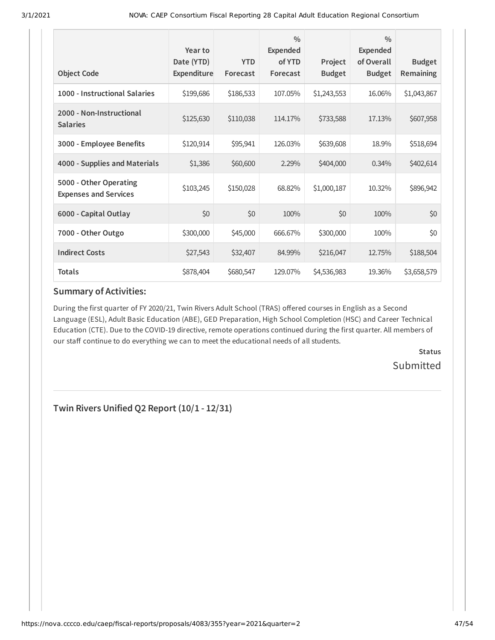| <b>Object Code</b>                                     | Year to<br>Date (YTD)<br>Expenditure | <b>YTD</b><br>Forecast | $\frac{0}{0}$<br><b>Expended</b><br>of YTD<br>Forecast | Project<br><b>Budget</b> | $\frac{0}{0}$<br>Expended<br>of Overall<br><b>Budget</b> | <b>Budget</b><br>Remaining |
|--------------------------------------------------------|--------------------------------------|------------------------|--------------------------------------------------------|--------------------------|----------------------------------------------------------|----------------------------|
| 1000 - Instructional Salaries                          | \$199,686                            | \$186,533              | 107.05%                                                | \$1,243,553              | 16.06%                                                   | \$1,043,867                |
| 2000 - Non-Instructional<br><b>Salaries</b>            | \$125,630                            | \$110,038              | 114.17%                                                | \$733,588                | 17.13%                                                   | \$607,958                  |
| 3000 - Employee Benefits                               | \$120,914                            | \$95,941               | 126.03%                                                | \$639,608                | 18.9%                                                    | \$518,694                  |
| 4000 - Supplies and Materials                          | \$1,386                              | \$60,600               | 2.29%                                                  | \$404,000                | 0.34%                                                    | \$402,614                  |
| 5000 - Other Operating<br><b>Expenses and Services</b> | \$103,245                            | \$150,028              | 68.82%                                                 | \$1,000,187              | 10.32%                                                   | \$896,942                  |
| 6000 - Capital Outlay                                  | \$0                                  | \$0                    | 100%                                                   | \$0                      | 100%                                                     | \$0                        |
| 7000 - Other Outgo                                     | \$300,000                            | \$45,000               | 666.67%                                                | \$300,000                | 100%                                                     | \$0                        |
| <b>Indirect Costs</b>                                  | \$27,543                             | \$32,407               | 84.99%                                                 | \$216,047                | 12.75%                                                   | \$188,504                  |
| <b>Totals</b>                                          | \$878,404                            | \$680,547              | 129.07%                                                | \$4,536,983              | 19.36%                                                   | \$3,658,579                |

During the first quarter of FY 2020/21, Twin Rivers Adult School (TRAS) offered courses in English as a Second Language (ESL), Adult Basic Education (ABE), GED Preparation, High School Completion (HSC) and Career Technical Education (CTE). Due to the COVID-19 directive, remote operations continued during the first quarter. All members of our staff continue to do everything we can to meet the educational needs of all students.

> **Status** Submitted

**Twin Rivers Unified Q2 Report (10/1 - 12/31)**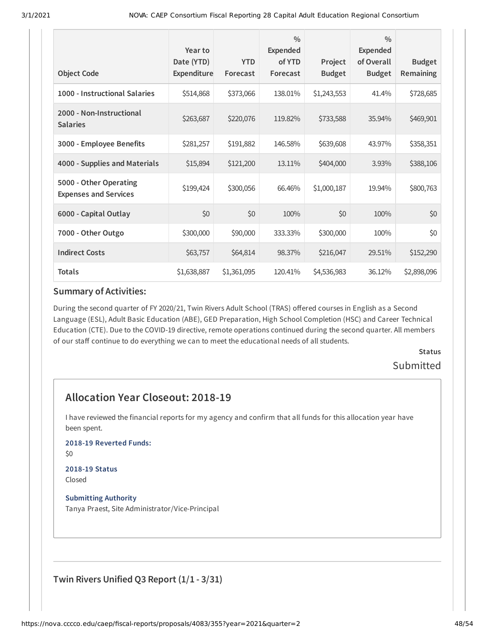| <b>Object Code</b>                                     | Year to<br>Date (YTD)<br>Expenditure | <b>YTD</b><br>Forecast | $\frac{0}{0}$<br>Expended<br>of YTD<br>Forecast | Project<br><b>Budget</b> | $\frac{0}{0}$<br><b>Expended</b><br>of Overall<br><b>Budget</b> | <b>Budget</b><br>Remaining |
|--------------------------------------------------------|--------------------------------------|------------------------|-------------------------------------------------|--------------------------|-----------------------------------------------------------------|----------------------------|
| 1000 - Instructional Salaries                          | \$514,868                            | \$373,066              | 138.01%                                         | \$1,243,553              | 41.4%                                                           | \$728,685                  |
| 2000 - Non-Instructional<br><b>Salaries</b>            | \$263,687                            | \$220,076              | 119.82%                                         | \$733,588                | 35.94%                                                          | \$469,901                  |
| 3000 - Employee Benefits                               | \$281,257                            | \$191,882              | 146.58%                                         | \$639,608                | 43.97%                                                          | \$358,351                  |
| 4000 - Supplies and Materials                          | \$15,894                             | \$121,200              | 13.11%                                          | \$404,000                | 3.93%                                                           | \$388,106                  |
| 5000 - Other Operating<br><b>Expenses and Services</b> | \$199,424                            | \$300,056              | 66.46%                                          | \$1,000,187              | 19.94%                                                          | \$800,763                  |
| 6000 - Capital Outlay                                  | \$0                                  | \$0                    | 100%                                            | \$0                      | 100%                                                            | \$0                        |
| 7000 - Other Outgo                                     | \$300,000                            | \$90,000               | 333.33%                                         | \$300,000                | 100%                                                            | \$0                        |
| <b>Indirect Costs</b>                                  | \$63,757                             | \$64,814               | 98.37%                                          | \$216,047                | 29.51%                                                          | \$152,290                  |
| <b>Totals</b>                                          | \$1,638,887                          | \$1,361,095            | 120.41%                                         | \$4,536,983              | 36.12%                                                          | \$2,898,096                |

During the second quarter of FY 2020/21, Twin Rivers Adult School (TRAS) offered courses in English as a Second Language (ESL), Adult Basic Education (ABE), GED Preparation, High School Completion (HSC) and Career Technical Education (CTE). Due to the COVID-19 directive, remote operations continued during the second quarter. All members of our staff continue to do everything we can to meet the educational needs of all students.

> **Status** Submitted

## **Allocation Year Closeout: 2018-19**

I have reviewed the financial reports for my agency and confirm that all funds for this allocation year have been spent.

**2018-19 Reverted Funds:**

\$0

#### **2018-19 Status** Closed

**Submitting Authority** Tanya Praest, Site Administrator/Vice-Principal

**Twin Rivers Unified Q3 Report (1/1 - 3/31)**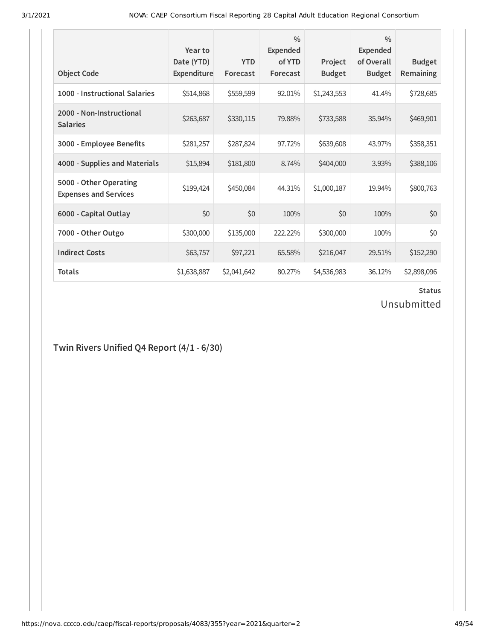| <b>Object Code</b>                                     | Year to<br>Date (YTD)<br>Expenditure | <b>YTD</b><br>Forecast | $\frac{0}{0}$<br><b>Expended</b><br>of YTD<br>Forecast | Project<br><b>Budget</b> | $\frac{0}{0}$<br><b>Expended</b><br>of Overall<br><b>Budget</b> | <b>Budget</b><br>Remaining |
|--------------------------------------------------------|--------------------------------------|------------------------|--------------------------------------------------------|--------------------------|-----------------------------------------------------------------|----------------------------|
| 1000 - Instructional Salaries                          | \$514,868                            | \$559,599              | 92.01%                                                 | \$1,243,553              | 41.4%                                                           | \$728,685                  |
| 2000 - Non-Instructional<br><b>Salaries</b>            | \$263,687                            | \$330,115              | 79.88%                                                 | \$733,588                | 35.94%                                                          | \$469,901                  |
| 3000 - Employee Benefits                               | \$281,257                            | \$287,824              | 97.72%                                                 | \$639,608                | 43.97%                                                          | \$358,351                  |
| 4000 - Supplies and Materials                          | \$15,894                             | \$181,800              | 8.74%                                                  | \$404,000                | 3.93%                                                           | \$388,106                  |
| 5000 - Other Operating<br><b>Expenses and Services</b> | \$199,424                            | \$450,084              | 44.31%                                                 | \$1,000,187              | 19.94%                                                          | \$800,763                  |
| 6000 - Capital Outlay                                  | \$0                                  | \$0                    | 100%                                                   | \$0                      | 100%                                                            | \$0                        |
| 7000 - Other Outgo                                     | \$300,000                            | \$135,000              | 222.22%                                                | \$300,000                | 100%                                                            | \$0                        |
| <b>Indirect Costs</b>                                  | \$63,757                             | \$97,221               | 65.58%                                                 | \$216,047                | 29.51%                                                          | \$152,290                  |
| <b>Totals</b>                                          | \$1,638,887                          | \$2,041,642            | 80.27%                                                 | \$4,536,983              | 36.12%                                                          | \$2,898,096                |

### **Status**

Unsubmitted

## **Twin Rivers Unified Q4 Report (4/1 - 6/30)**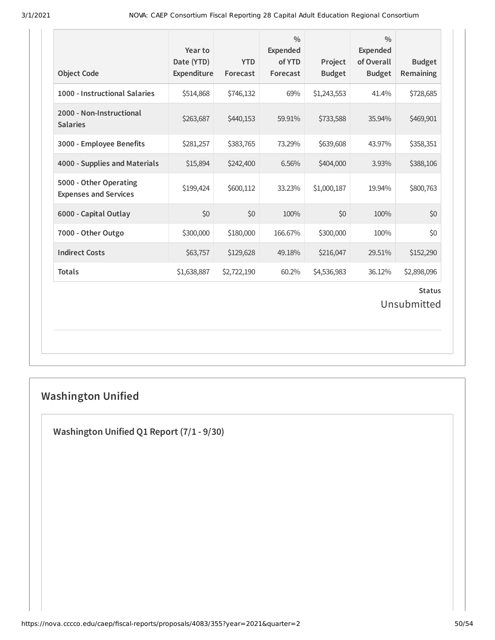| <b>Object Code</b>                                     | Year to<br>Date (YTD)<br>Expenditure | <b>YTD</b><br>Forecast | $\frac{0}{0}$<br><b>Expended</b><br>of YTD<br>Forecast | Project<br><b>Budget</b> | $\frac{0}{0}$<br><b>Expended</b><br>of Overall<br><b>Budget</b> | <b>Budget</b><br>Remaining   |
|--------------------------------------------------------|--------------------------------------|------------------------|--------------------------------------------------------|--------------------------|-----------------------------------------------------------------|------------------------------|
| 1000 - Instructional Salaries                          | \$514,868                            | \$746,132              | 69%                                                    | \$1,243,553              | 41.4%                                                           | \$728,685                    |
| 2000 - Non-Instructional<br><b>Salaries</b>            | \$263,687                            | \$440,153              | 59.91%                                                 | \$733,588                | 35.94%                                                          | \$469,901                    |
| 3000 - Employee Benefits                               | \$281,257                            | \$383,765              | 73.29%                                                 | \$639,608                | 43.97%                                                          | \$358,351                    |
| 4000 - Supplies and Materials                          | \$15,894                             | \$242,400              | 6.56%                                                  | \$404,000                | 3.93%                                                           | \$388,106                    |
| 5000 - Other Operating<br><b>Expenses and Services</b> | \$199,424                            | \$600,112              | 33.23%                                                 | \$1,000,187              | 19.94%                                                          | \$800,763                    |
| 6000 - Capital Outlay                                  | \$0                                  | \$0                    | 100%                                                   | \$0                      | 100%                                                            | \$0                          |
| 7000 - Other Outgo                                     | \$300,000                            | \$180,000              | 166.67%                                                | \$300,000                | 100%                                                            | \$0                          |
| <b>Indirect Costs</b>                                  | \$63,757                             | \$129,628              | 49.18%                                                 | \$216,047                | 29.51%                                                          | \$152,290                    |
| <b>Totals</b>                                          | \$1,638,887                          | \$2,722,190            | 60.2%                                                  | \$4,536,983              | 36.12%                                                          | \$2,898,096                  |
|                                                        |                                      |                        |                                                        |                          |                                                                 | <b>Status</b><br>Unsubmitted |

# **Washington Unified**

**Washington Unified Q1 Report (7/1 - 9/30)**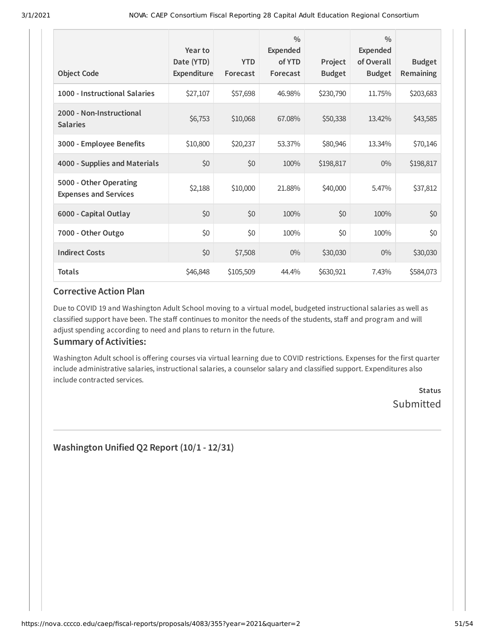| <b>Object Code</b>                                     | Year to<br>Date (YTD)<br>Expenditure | <b>YTD</b><br>Forecast | $\frac{0}{0}$<br><b>Expended</b><br>of YTD<br>Forecast | Project<br><b>Budget</b> | $\frac{0}{0}$<br><b>Expended</b><br>of Overall<br><b>Budget</b> | <b>Budget</b><br>Remaining |
|--------------------------------------------------------|--------------------------------------|------------------------|--------------------------------------------------------|--------------------------|-----------------------------------------------------------------|----------------------------|
| 1000 - Instructional Salaries                          | \$27,107                             | \$57,698               | 46.98%                                                 | \$230,790                | 11.75%                                                          | \$203,683                  |
| 2000 - Non-Instructional<br><b>Salaries</b>            | \$6,753                              | \$10,068               | 67.08%                                                 | \$50,338                 | 13.42%                                                          | \$43,585                   |
| 3000 - Employee Benefits                               | \$10,800                             | \$20,237               | 53.37%                                                 | \$80,946                 | 13.34%                                                          | \$70,146                   |
| 4000 - Supplies and Materials                          | \$0                                  | \$0                    | 100%                                                   | \$198,817                | $0\%$                                                           | \$198,817                  |
| 5000 - Other Operating<br><b>Expenses and Services</b> | \$2,188                              | \$10,000               | 21.88%                                                 | \$40,000                 | 5.47%                                                           | \$37,812                   |
| 6000 - Capital Outlay                                  | \$0                                  | \$0                    | 100%                                                   | \$0                      | 100%                                                            | \$0                        |
| 7000 - Other Outgo                                     | \$0                                  | \$0                    | 100%                                                   | \$0                      | 100%                                                            | \$0                        |
| <b>Indirect Costs</b>                                  | \$0                                  | \$7,508                | $0\%$                                                  | \$30,030                 | $0\%$                                                           | \$30,030                   |
| <b>Totals</b>                                          | \$46,848                             | \$105,509              | 44.4%                                                  | \$630,921                | 7.43%                                                           | \$584,073                  |

Due to COVID 19 and Washington Adult School moving to a virtual model, budgeted instructional salaries as well as classified support have been. The staff continues to monitor the needs of the students, staff and program and will adjust spending according to need and plans to return in the future.

### **Summary of Activities:**

Washington Adult school is offering courses via virtual learning due to COVID restrictions. Expenses for the first quarter include administrative salaries, instructional salaries, a counselor salary and classified support. Expenditures also include contracted services.

> **Status Submitted**

**Washington Unified Q2 Report (10/1 - 12/31)**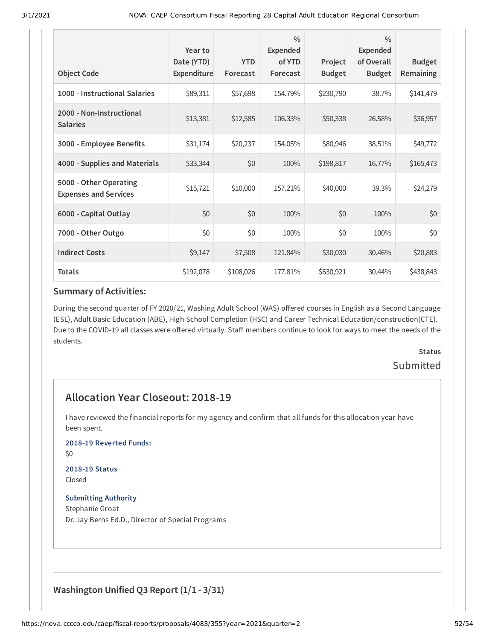| <b>Object Code</b>                                     | Year to<br>Date (YTD)<br><b>Expenditure</b> | <b>YTD</b><br>Forecast | $\frac{0}{0}$<br><b>Expended</b><br>of YTD<br>Forecast | Project<br><b>Budget</b> | $\frac{0}{0}$<br>Expended<br>of Overall<br><b>Budget</b> | <b>Budget</b><br><b>Remaining</b> |
|--------------------------------------------------------|---------------------------------------------|------------------------|--------------------------------------------------------|--------------------------|----------------------------------------------------------|-----------------------------------|
| 1000 - Instructional Salaries                          | \$89,311                                    | \$57,698               | 154.79%                                                | \$230,790                | 38.7%                                                    | \$141,479                         |
| 2000 - Non-Instructional<br><b>Salaries</b>            | \$13,381                                    | \$12,585               | 106.33%                                                | \$50,338                 | 26.58%                                                   | \$36,957                          |
| 3000 - Employee Benefits                               | \$31,174                                    | \$20,237               | 154.05%                                                | \$80,946                 | 38.51%                                                   | \$49,772                          |
| 4000 - Supplies and Materials                          | \$33,344                                    | \$0                    | 100%                                                   | \$198,817                | 16.77%                                                   | \$165,473                         |
| 5000 - Other Operating<br><b>Expenses and Services</b> | \$15,721                                    | \$10,000               | 157.21%                                                | \$40,000                 | 39.3%                                                    | \$24,279                          |
| 6000 - Capital Outlay                                  | \$0                                         | \$0                    | 100%                                                   | \$0                      | 100%                                                     | \$0                               |
| 7000 - Other Outgo                                     | \$0                                         | \$0                    | 100%                                                   | \$0                      | 100%                                                     | \$0                               |
| <b>Indirect Costs</b>                                  | \$9,147                                     | \$7,508                | 121.84%                                                | \$30,030                 | 30.46%                                                   | \$20,883                          |
| <b>Totals</b>                                          | \$192,078                                   | \$108,026              | 177.81%                                                | \$630,921                | 30.44%                                                   | \$438,843                         |

During the second quarter of FY 2020/21, Washing Adult School (WAS) offered courses in English as a Second Language (ESL), Adult Basic Education (ABE), High School Completion (HSC) and Career Technical Education/construction(CTE). Due to the COVID-19 all classes were offered virtually. Staff members continue to look for ways to meet the needs of the students.

## **Status** Submitted

## **Allocation Year Closeout: 2018-19**

I have reviewed the financial reports for my agency and confirm that all funds for this allocation year have been spent.

#### **2018-19 Reverted Funds:**

\$0

#### **2018-19 Status** Closed

#### **Submitting Authority**

Stephanie Groat Dr. Jay Berns Ed.D., Director of Special Programs

## **Washington Unified Q3 Report (1/1 - 3/31)**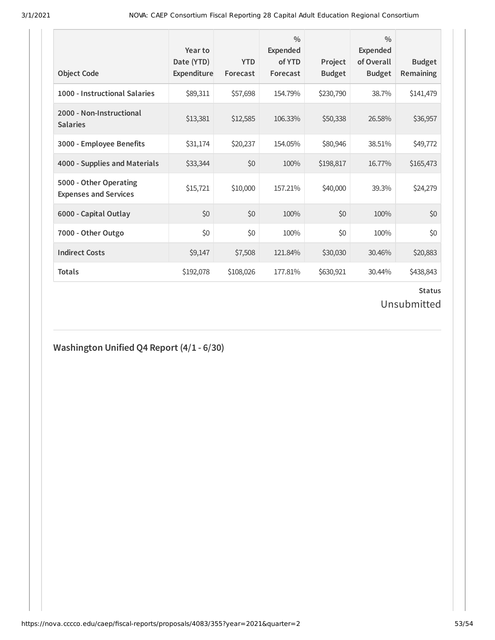| <b>Object Code</b>                                     | Year to<br>Date (YTD)<br>Expenditure | <b>YTD</b><br>Forecast | $\frac{0}{0}$<br>Expended<br>of YTD<br>Forecast | Project<br><b>Budget</b> | $\frac{0}{0}$<br><b>Expended</b><br>of Overall<br><b>Budget</b> | <b>Budget</b><br><b>Remaining</b> |
|--------------------------------------------------------|--------------------------------------|------------------------|-------------------------------------------------|--------------------------|-----------------------------------------------------------------|-----------------------------------|
| 1000 - Instructional Salaries                          | \$89,311                             | \$57,698               | 154.79%                                         | \$230,790                | 38.7%                                                           | \$141,479                         |
| 2000 - Non-Instructional<br><b>Salaries</b>            | \$13,381                             | \$12,585               | 106.33%                                         | \$50,338                 | 26.58%                                                          | \$36,957                          |
| 3000 - Employee Benefits                               | \$31,174                             | \$20,237               | 154.05%                                         | \$80,946                 | 38.51%                                                          | \$49,772                          |
| 4000 - Supplies and Materials                          | \$33,344                             | \$0                    | 100%                                            | \$198,817                | 16.77%                                                          | \$165,473                         |
| 5000 - Other Operating<br><b>Expenses and Services</b> | \$15,721                             | \$10,000               | 157.21%                                         | \$40,000                 | 39.3%                                                           | \$24,279                          |
| 6000 - Capital Outlay                                  | \$0                                  | \$0                    | 100%                                            | \$0                      | 100%                                                            | \$0                               |
| 7000 - Other Outgo                                     | \$0                                  | \$0                    | 100%                                            | \$0                      | 100%                                                            | \$0                               |
| <b>Indirect Costs</b>                                  | \$9,147                              | \$7,508                | 121.84%                                         | \$30,030                 | 30.46%                                                          | \$20,883                          |
| <b>Totals</b>                                          | \$192,078                            | \$108,026              | 177.81%                                         | \$630,921                | 30.44%                                                          | \$438,843                         |

# **Status**

# Unsubmitted

## **Washington Unified Q4 Report (4/1 - 6/30)**